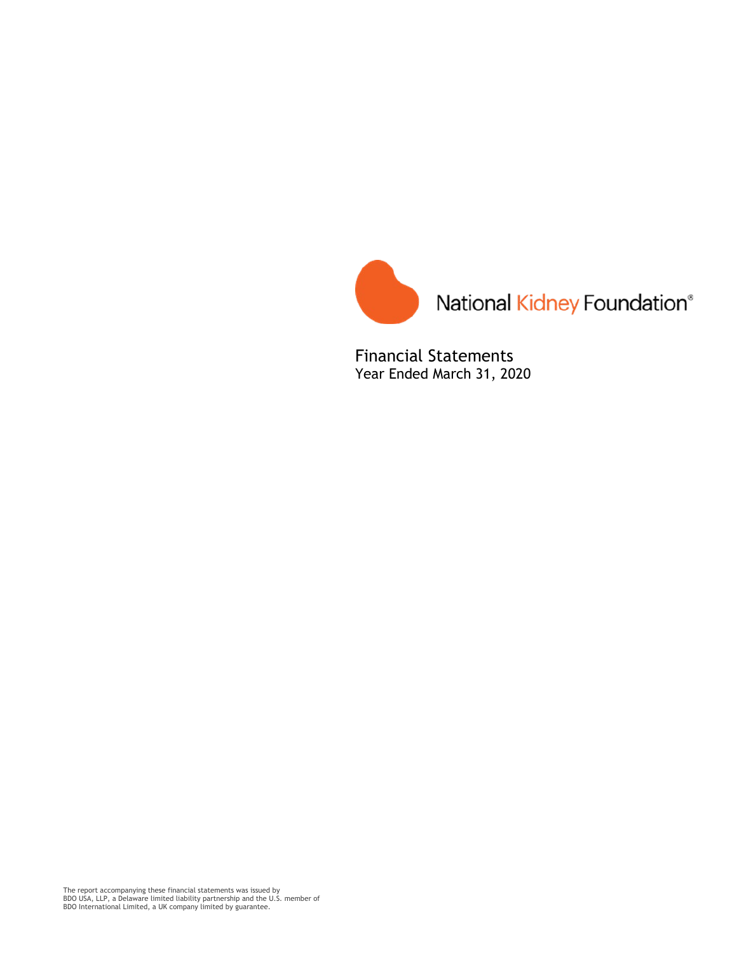

Financial Statements Year Ended March 31, 2020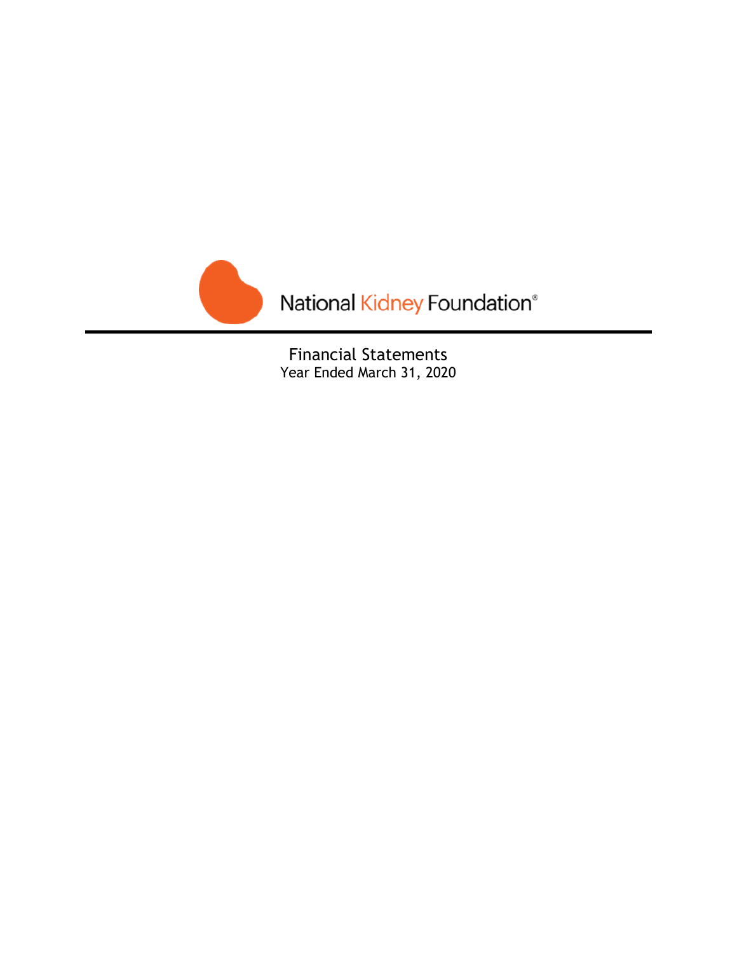

Financial Statements Year Ended March 31, 2020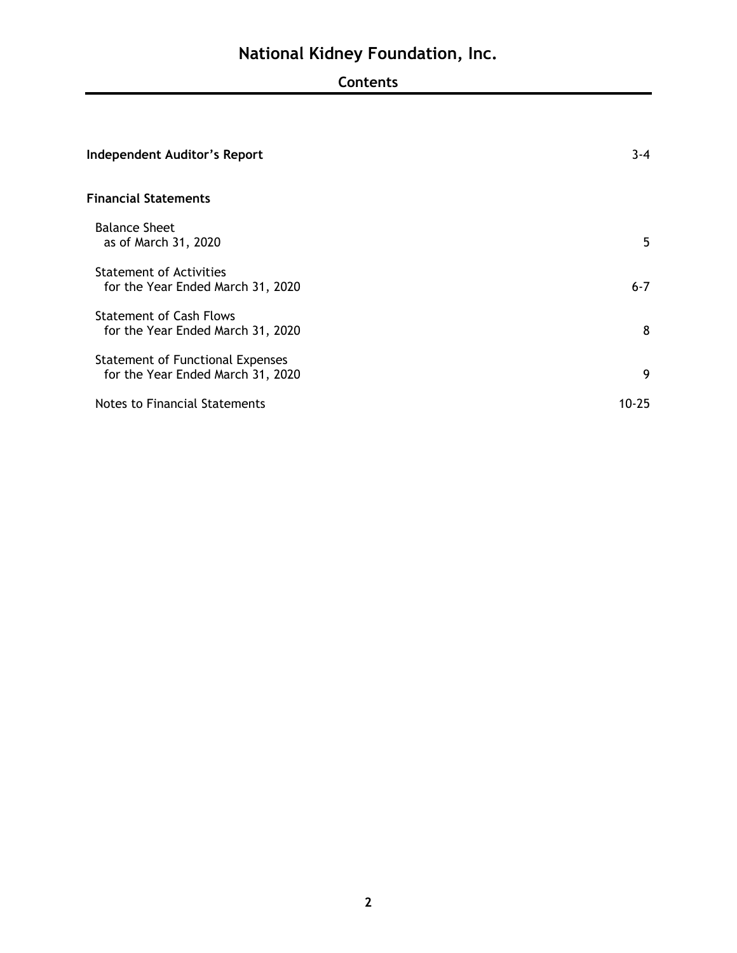# **Contents**

| <b>Independent Auditor's Report</b>                                   | $3 - 4$ |
|-----------------------------------------------------------------------|---------|
| <b>Financial Statements</b>                                           |         |
| <b>Balance Sheet</b><br>as of March 31, 2020                          | 5       |
| <b>Statement of Activities</b><br>for the Year Ended March 31, 2020   | $6 - 7$ |
| <b>Statement of Cash Flows</b><br>for the Year Ended March 31, 2020   | 8       |
| Statement of Functional Expenses<br>for the Year Ended March 31, 2020 | 9       |
| Notes to Financial Statements                                         | 10-25   |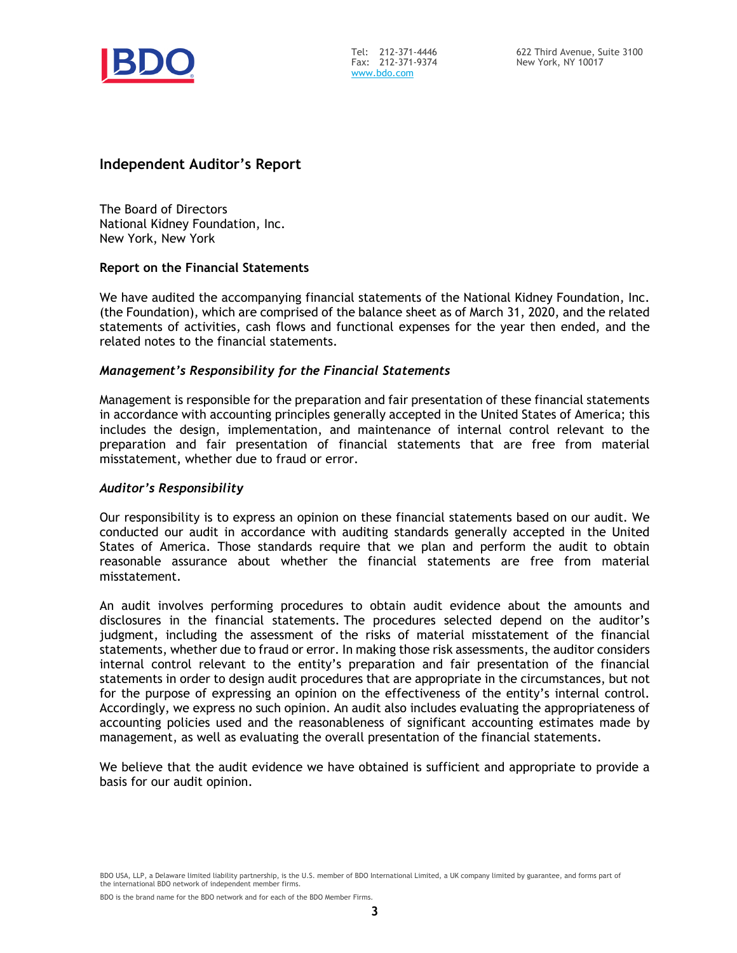

Tel: 212-371-4446 Fax: 212-371-9374 [www.bdo.com](http://www.bdo.com/)

# **Independent Auditor's Report**

The Board of Directors National Kidney Foundation, Inc. New York, New York

## **Report on the Financial Statements**

We have audited the accompanying financial statements of the National Kidney Foundation, Inc. (the Foundation), which are comprised of the balance sheet as of March 31, 2020, and the related statements of activities, cash flows and functional expenses for the year then ended, and the related notes to the financial statements.

# *Management's Responsibility for the Financial Statements*

Management is responsible for the preparation and fair presentation of these financial statements in accordance with accounting principles generally accepted in the United States of America; this includes the design, implementation, and maintenance of internal control relevant to the preparation and fair presentation of financial statements that are free from material misstatement, whether due to fraud or error.

## *Auditor's Responsibility*

Our responsibility is to express an opinion on these financial statements based on our audit. We conducted our audit in accordance with auditing standards generally accepted in the United States of America. Those standards require that we plan and perform the audit to obtain reasonable assurance about whether the financial statements are free from material misstatement.

An audit involves performing procedures to obtain audit evidence about the amounts and disclosures in the financial statements. The procedures selected depend on the auditor's judgment, including the assessment of the risks of material misstatement of the financial statements, whether due to fraud or error. In making those risk assessments, the auditor considers internal control relevant to the entity's preparation and fair presentation of the financial statements in order to design audit procedures that are appropriate in the circumstances, but not for the purpose of expressing an opinion on the effectiveness of the entity's internal control. Accordingly, we express no such opinion. An audit also includes evaluating the appropriateness of accounting policies used and the reasonableness of significant accounting estimates made by management, as well as evaluating the overall presentation of the financial statements.

We believe that the audit evidence we have obtained is sufficient and appropriate to provide a basis for our audit opinion.

BDO USA, LLP, a Delaware limited liability partnership, is the U.S. member of BDO International Limited, a UK company limited by guarantee, and forms part of the international BDO network of independent member firms.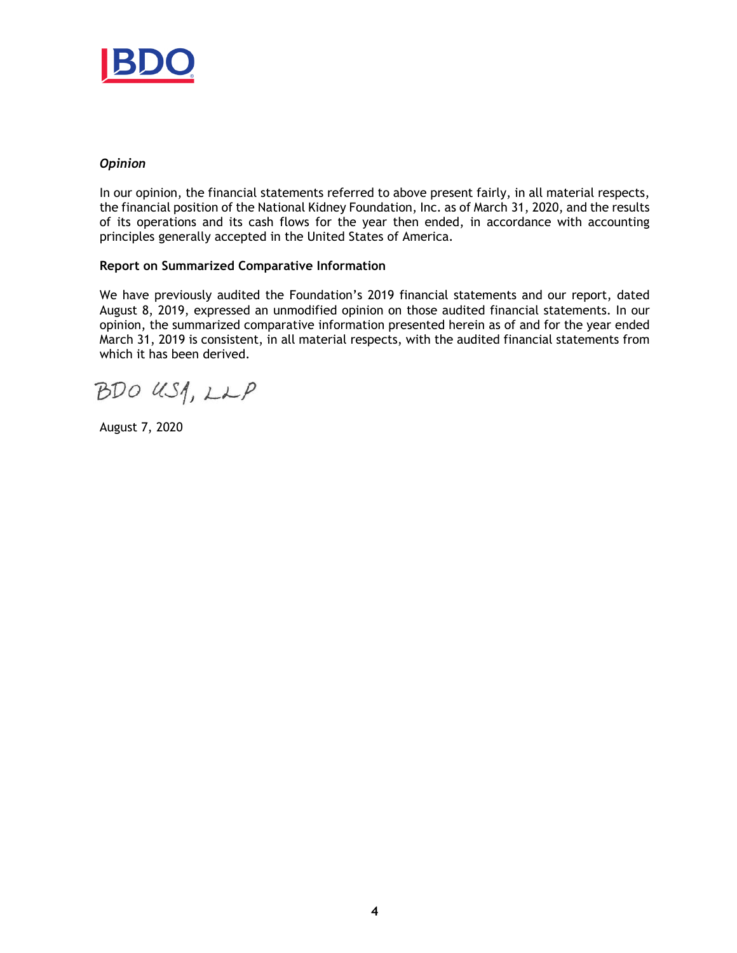

# *Opinion*

In our opinion, the financial statements referred to above present fairly, in all material respects, the financial position of the National Kidney Foundation, Inc. as of March 31, 2020, and the results of its operations and its cash flows for the year then ended, in accordance with accounting principles generally accepted in the United States of America.

## **Report on Summarized Comparative Information**

We have previously audited the Foundation's 2019 financial statements and our report, dated August 8, 2019, expressed an unmodified opinion on those audited financial statements. In our opinion, the summarized comparative information presented herein as of and for the year ended March 31, 2019 is consistent, in all material respects, with the audited financial statements from which it has been derived.

BDO USA, LLP

August 7, 2020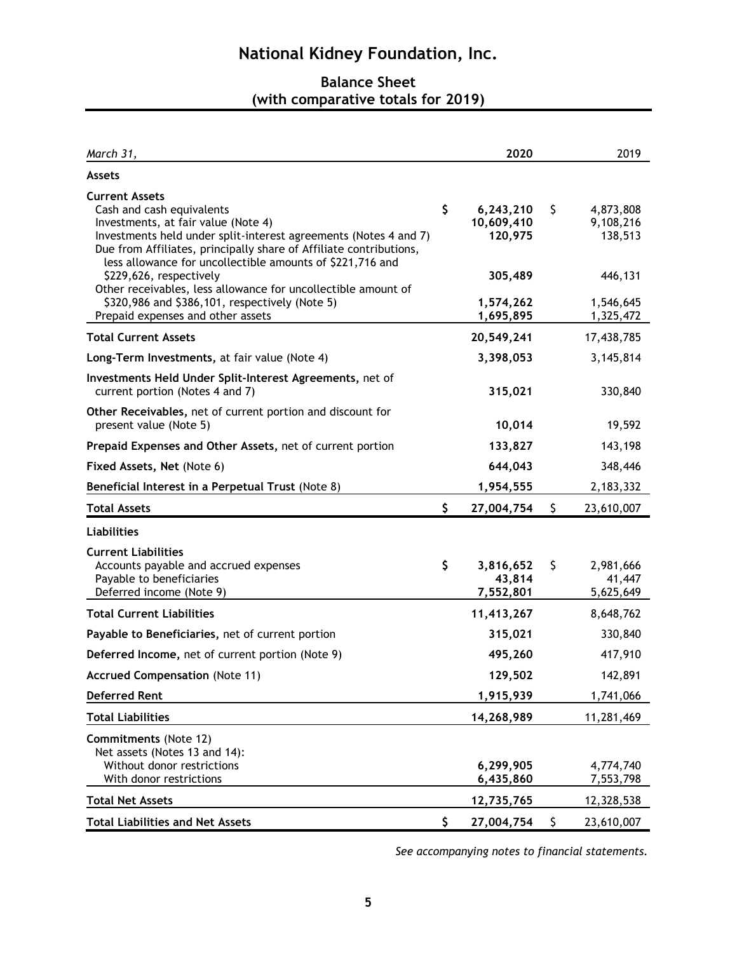# **Balance Sheet (with comparative totals for 2019)**

| March 31,                                                                                                                                                                                                                                                                                        | 2020                                     | 2019                                    |
|--------------------------------------------------------------------------------------------------------------------------------------------------------------------------------------------------------------------------------------------------------------------------------------------------|------------------------------------------|-----------------------------------------|
| <b>Assets</b>                                                                                                                                                                                                                                                                                    |                                          |                                         |
| <b>Current Assets</b><br>Cash and cash equivalents<br>Investments, at fair value (Note 4)<br>Investments held under split-interest agreements (Notes 4 and 7)<br>Due from Affiliates, principally share of Affiliate contributions,<br>less allowance for uncollectible amounts of \$221,716 and | \$<br>6,243,210<br>10,609,410<br>120,975 | \$<br>4,873,808<br>9,108,216<br>138,513 |
| \$229,626, respectively<br>Other receivables, less allowance for uncollectible amount of<br>\$320,986 and \$386,101, respectively (Note 5)<br>Prepaid expenses and other assets                                                                                                                  | 305,489<br>1,574,262<br>1,695,895        | 446,131<br>1,546,645<br>1,325,472       |
| <b>Total Current Assets</b>                                                                                                                                                                                                                                                                      | 20,549,241                               | 17,438,785                              |
| Long-Term Investments, at fair value (Note 4)                                                                                                                                                                                                                                                    | 3,398,053                                | 3,145,814                               |
| Investments Held Under Split-Interest Agreements, net of<br>current portion (Notes 4 and 7)                                                                                                                                                                                                      | 315,021                                  | 330,840                                 |
| Other Receivables, net of current portion and discount for<br>present value (Note 5)                                                                                                                                                                                                             | 10,014                                   | 19,592                                  |
| Prepaid Expenses and Other Assets, net of current portion                                                                                                                                                                                                                                        | 133,827                                  | 143,198                                 |
| Fixed Assets, Net (Note 6)                                                                                                                                                                                                                                                                       | 644,043                                  | 348,446                                 |
| Beneficial Interest in a Perpetual Trust (Note 8)                                                                                                                                                                                                                                                | 1,954,555                                | 2,183,332                               |
| <b>Total Assets</b>                                                                                                                                                                                                                                                                              | \$<br>27,004,754                         | \$<br>23,610,007                        |
| <b>Liabilities</b>                                                                                                                                                                                                                                                                               |                                          |                                         |
| <b>Current Liabilities</b><br>Accounts payable and accrued expenses<br>Payable to beneficiaries<br>Deferred income (Note 9)                                                                                                                                                                      | \$<br>3,816,652<br>43,814<br>7,552,801   | \$<br>2,981,666<br>41,447<br>5,625,649  |
| <b>Total Current Liabilities</b>                                                                                                                                                                                                                                                                 | 11,413,267                               | 8,648,762                               |
| Payable to Beneficiaries, net of current portion                                                                                                                                                                                                                                                 | 315,021                                  | 330,840                                 |
| Deferred Income, net of current portion (Note 9)                                                                                                                                                                                                                                                 | 495,260                                  | 417,910                                 |
| <b>Accrued Compensation (Note 11)</b>                                                                                                                                                                                                                                                            | 129,502                                  | 142,891                                 |
| <b>Deferred Rent</b>                                                                                                                                                                                                                                                                             | 1,915,939                                | 1,741,066                               |
| <b>Total Liabilities</b>                                                                                                                                                                                                                                                                         | 14,268,989                               | 11,281,469                              |
| <b>Commitments (Note 12)</b><br>Net assets (Notes 13 and 14):<br>Without donor restrictions<br>With donor restrictions                                                                                                                                                                           | 6,299,905<br>6,435,860                   | 4,774,740<br>7,553,798                  |
| <b>Total Net Assets</b>                                                                                                                                                                                                                                                                          | 12,735,765                               | 12,328,538                              |
| <b>Total Liabilities and Net Assets</b>                                                                                                                                                                                                                                                          | \$<br>27,004,754                         | \$<br>23,610,007                        |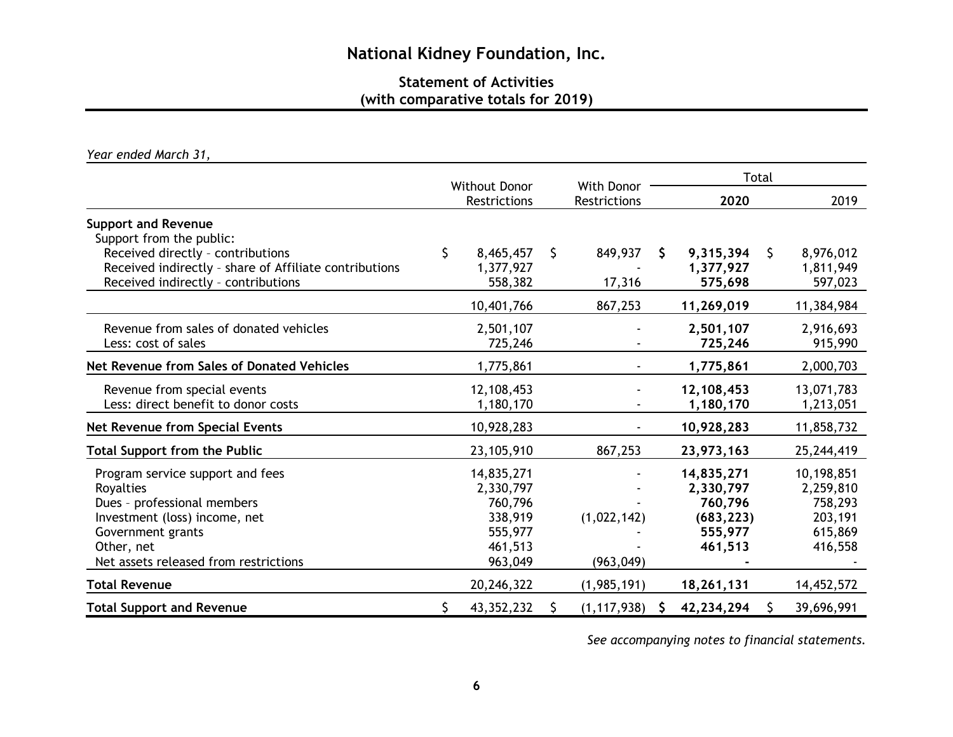# **Statement of Activities (with comparative totals for 2019)**

*Year ended March 31,*

|                                                                                                                                                                                           |                                                                                |     |                                   |          | Total                                                                  |    |                                                                     |  |  |
|-------------------------------------------------------------------------------------------------------------------------------------------------------------------------------------------|--------------------------------------------------------------------------------|-----|-----------------------------------|----------|------------------------------------------------------------------------|----|---------------------------------------------------------------------|--|--|
|                                                                                                                                                                                           | <b>Without Donor</b><br><b>Restrictions</b>                                    |     | With Donor<br><b>Restrictions</b> |          | 2020                                                                   |    | 2019                                                                |  |  |
| <b>Support and Revenue</b><br>Support from the public:                                                                                                                                    |                                                                                |     |                                   |          |                                                                        |    |                                                                     |  |  |
| Received directly - contributions<br>Received indirectly - share of Affiliate contributions<br>Received indirectly - contributions                                                        | \$<br>8,465,457<br>1,377,927<br>558,382                                        | \$. | 849,937<br>17,316                 | S.       | 9,315,394<br>1,377,927<br>575,698                                      | \$ | 8,976,012<br>1,811,949<br>597,023                                   |  |  |
|                                                                                                                                                                                           | 10,401,766                                                                     |     | 867,253                           |          | 11,269,019                                                             |    | 11,384,984                                                          |  |  |
| Revenue from sales of donated vehicles<br>Less: cost of sales                                                                                                                             | 2,501,107<br>725,246                                                           |     |                                   |          | 2,501,107<br>725,246                                                   |    | 2,916,693<br>915,990                                                |  |  |
| Net Revenue from Sales of Donated Vehicles                                                                                                                                                | 1,775,861                                                                      |     |                                   |          | 1,775,861                                                              |    | 2,000,703                                                           |  |  |
| Revenue from special events<br>Less: direct benefit to donor costs                                                                                                                        | 12,108,453<br>1,180,170                                                        |     |                                   |          | 12,108,453<br>1,180,170                                                |    | 13,071,783<br>1,213,051                                             |  |  |
| Net Revenue from Special Events                                                                                                                                                           | 10,928,283                                                                     |     |                                   |          | 10,928,283                                                             |    | 11,858,732                                                          |  |  |
| <b>Total Support from the Public</b>                                                                                                                                                      | 23,105,910                                                                     |     | 867,253                           |          | 23,973,163                                                             |    | 25,244,419                                                          |  |  |
| Program service support and fees<br>Royalties<br>Dues - professional members<br>Investment (loss) income, net<br>Government grants<br>Other, net<br>Net assets released from restrictions | 14,835,271<br>2,330,797<br>760,796<br>338,919<br>555,977<br>461,513<br>963,049 |     | (1,022,142)<br>(963, 049)         |          | 14,835,271<br>2,330,797<br>760,796<br>(683, 223)<br>555,977<br>461,513 |    | 10,198,851<br>2,259,810<br>758,293<br>203,191<br>615,869<br>416,558 |  |  |
| <b>Total Revenue</b>                                                                                                                                                                      | 20,246,322                                                                     |     | (1,985,191)                       |          | 18,261,131                                                             |    | 14,452,572                                                          |  |  |
| <b>Total Support and Revenue</b>                                                                                                                                                          | \$<br>43,352,232                                                               |     | (1, 117, 938)                     | <b>S</b> | 42,234,294                                                             | \$ | 39,696,991                                                          |  |  |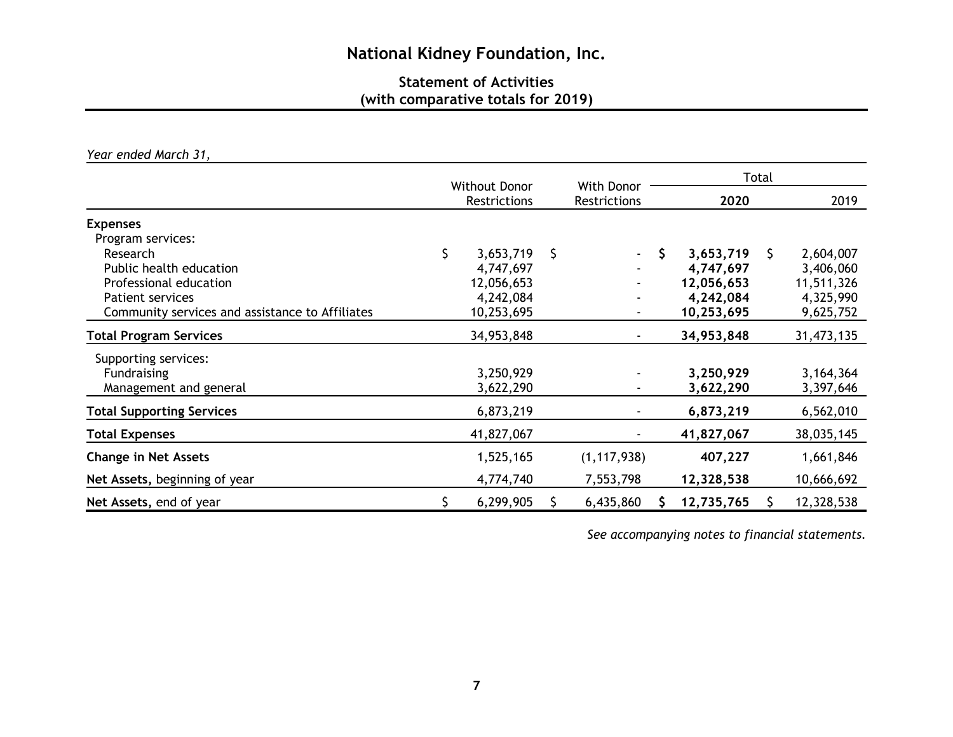# **Statement of Activities (with comparative totals for 2019)**

*Year ended March 31,* 

|                                                                                                                                                                              | With Donor<br><b>Without Donor</b> |                                                                 |    |                            |    | Total                                                           |      |                                                                |  |  |
|------------------------------------------------------------------------------------------------------------------------------------------------------------------------------|------------------------------------|-----------------------------------------------------------------|----|----------------------------|----|-----------------------------------------------------------------|------|----------------------------------------------------------------|--|--|
|                                                                                                                                                                              |                                    | Restrictions                                                    |    | <b>Restrictions</b>        |    | 2020                                                            | 2019 |                                                                |  |  |
| <b>Expenses</b><br>Program services:<br>Research<br>Public health education<br>Professional education<br>Patient services<br>Community services and assistance to Affiliates | \$                                 | 3,653,719<br>4,747,697<br>12,056,653<br>4,242,084<br>10,253,695 | \$ | $\sim$<br>$\blacksquare$   | \$ | 3,653,719<br>4,747,697<br>12,056,653<br>4,242,084<br>10,253,695 | \$   | 2,604,007<br>3,406,060<br>11,511,326<br>4,325,990<br>9,625,752 |  |  |
| <b>Total Program Services</b>                                                                                                                                                |                                    | 34,953,848                                                      |    | $\blacksquare$             |    | 34,953,848                                                      |      | 31,473,135                                                     |  |  |
| Supporting services:<br><b>Fundraising</b><br>Management and general                                                                                                         |                                    | 3,250,929<br>3,622,290                                          |    |                            |    | 3,250,929<br>3,622,290                                          |      | 3, 164, 364<br>3,397,646                                       |  |  |
| <b>Total Supporting Services</b>                                                                                                                                             |                                    | 6,873,219                                                       |    |                            |    | 6,873,219                                                       |      | 6,562,010                                                      |  |  |
| <b>Total Expenses</b>                                                                                                                                                        |                                    | 41,827,067                                                      |    |                            |    | 41,827,067                                                      |      | 38,035,145                                                     |  |  |
| <b>Change in Net Assets</b><br>Net Assets, beginning of year                                                                                                                 |                                    | 1,525,165<br>4,774,740                                          |    | (1, 117, 938)<br>7,553,798 |    | 407,227<br>12,328,538                                           |      | 1,661,846<br>10,666,692                                        |  |  |
| Net Assets, end of year                                                                                                                                                      | \$                                 | 6,299,905                                                       |    | 6,435,860                  |    | 12,735,765                                                      |      | 12,328,538                                                     |  |  |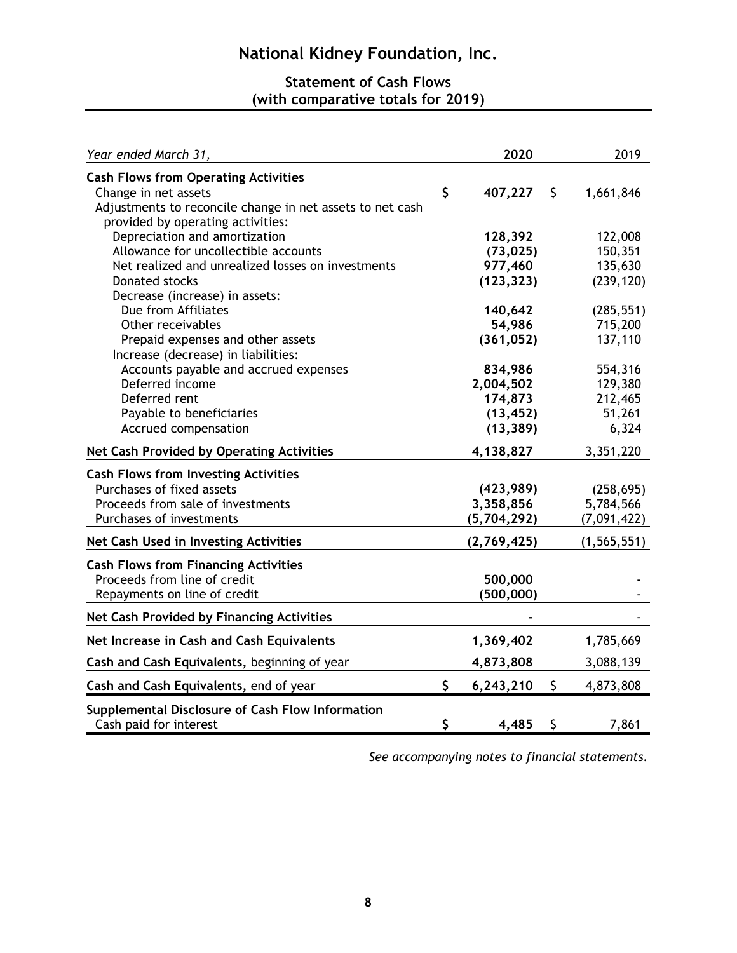# **Statement of Cash Flows (with comparative totals for 2019)**

| Year ended March 31,                                                                                                                                                           | 2020                                                      | 2019                                             |
|--------------------------------------------------------------------------------------------------------------------------------------------------------------------------------|-----------------------------------------------------------|--------------------------------------------------|
| <b>Cash Flows from Operating Activities</b><br>Change in net assets<br>Adjustments to reconcile change in net assets to net cash<br>provided by operating activities:          | \$<br>407,227                                             | \$<br>1,661,846                                  |
| Depreciation and amortization<br>Allowance for uncollectible accounts<br>Net realized and unrealized losses on investments<br>Donated stocks<br>Decrease (increase) in assets: | 128,392<br>(73, 025)<br>977,460<br>(123, 323)             | 122,008<br>150,351<br>135,630<br>(239, 120)      |
| Due from Affiliates<br>Other receivables<br>Prepaid expenses and other assets<br>Increase (decrease) in liabilities:                                                           | 140,642<br>54,986<br>(361, 052)                           | (285, 551)<br>715,200<br>137,110                 |
| Accounts payable and accrued expenses<br>Deferred income<br>Deferred rent<br>Payable to beneficiaries<br>Accrued compensation                                                  | 834,986<br>2,004,502<br>174,873<br>(13, 452)<br>(13, 389) | 554,316<br>129,380<br>212,465<br>51,261<br>6,324 |
| Net Cash Provided by Operating Activities                                                                                                                                      | 4,138,827                                                 | 3,351,220                                        |
| <b>Cash Flows from Investing Activities</b><br>Purchases of fixed assets<br>Proceeds from sale of investments<br>Purchases of investments                                      | (423, 989)<br>3,358,856<br>(5,704,292)                    | (258, 695)<br>5,784,566<br>(7,091,422)           |
| Net Cash Used in Investing Activities                                                                                                                                          | (2,769,425)                                               | (1, 565, 551)                                    |
| <b>Cash Flows from Financing Activities</b><br>Proceeds from line of credit<br>Repayments on line of credit                                                                    | 500,000<br>(500, 000)                                     |                                                  |
| <b>Net Cash Provided by Financing Activities</b>                                                                                                                               |                                                           |                                                  |
| Net Increase in Cash and Cash Equivalents                                                                                                                                      | 1,369,402                                                 | 1,785,669                                        |
| Cash and Cash Equivalents, beginning of year                                                                                                                                   | 4,873,808                                                 | 3,088,139                                        |
| Cash and Cash Equivalents, end of year                                                                                                                                         | \$<br>6,243,210                                           | \$<br>4,873,808                                  |
| Supplemental Disclosure of Cash Flow Information<br>Cash paid for interest                                                                                                     | \$<br>4,485                                               | \$<br>7,861                                      |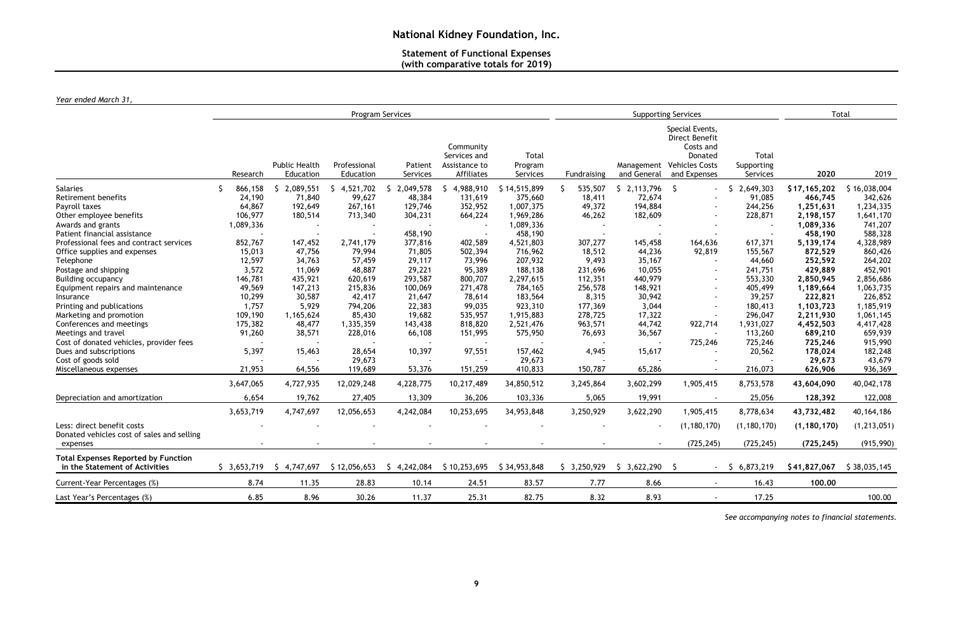# **Statement of Functional Expenses (with comparative totals for 2019)**

*Year ended March 31,*

|                                                                                                                                                                                    |                                                                     |                                                            |                                                                         | Program Services                                                                                            |                                                                       |                                                                               |                                                           | <b>Supporting Services</b>                                 | Total                                                                                                  |                                                                 |                                                                                 |                                                                                      |
|------------------------------------------------------------------------------------------------------------------------------------------------------------------------------------|---------------------------------------------------------------------|------------------------------------------------------------|-------------------------------------------------------------------------|-------------------------------------------------------------------------------------------------------------|-----------------------------------------------------------------------|-------------------------------------------------------------------------------|-----------------------------------------------------------|------------------------------------------------------------|--------------------------------------------------------------------------------------------------------|-----------------------------------------------------------------|---------------------------------------------------------------------------------|--------------------------------------------------------------------------------------|
|                                                                                                                                                                                    | Research                                                            | <b>Public Health</b><br>Education                          | Professional<br>Education                                               | Patient<br>Services                                                                                         | Community<br>Services and<br>Assistance to<br>Affiliates              | Total<br>Program<br>Services                                                  | Fundraising                                               | and General                                                | Special Events,<br>Direct Benefit<br>Costs and<br>Donated<br>Management Vehicles Costs<br>and Expenses | Total<br>Supporting<br>Services                                 | 2020                                                                            | 2019                                                                                 |
| <b>Salaries</b><br>Retirement benefits<br>Payroll taxes<br>Other employee benefits<br>Awards and grants<br>Patient financial assistance<br>Professional fees and contract services | 866,158<br>24,190<br>64,867<br>106,977<br>1,089,336                 | 2,089,551<br>S.<br>71,840<br>192,649<br>180,514<br>147,452 | 4,521,702<br>S.<br>99,627<br>267,161<br>713,340                         | 2,049,578<br><sub>S</sub><br>48,384<br>129,746<br>304,231<br>$\overline{\phantom{a}}$<br>458,190<br>377,816 | 4,988,910<br><sub>S</sub><br>131,619<br>352,952<br>664,224<br>402,589 | \$14,515,899<br>375,660<br>1,007,375<br>1,969,286<br>1,089,336<br>458,190     | 535,507<br>\$.<br>18,411<br>49,372<br>46,262<br>307,277   | \$2,113,796<br>72,674<br>194,884<br>182,609<br>145,458     | $\zeta$<br>164,636                                                                                     | 2,649,303<br>S.<br>91,085<br>244,256<br>228,871<br>617,371      | \$17,165,202<br>466,745<br>1,251,631<br>2,198,157<br>1,089,336<br>458,190       | \$16,038,004<br>342,626<br>1,234,335<br>1,641,170<br>741,207<br>588,328<br>4,328,989 |
| Office supplies and expenses<br>Telephone<br>Postage and shipping<br><b>Building occupancy</b><br>Equipment repairs and maintenance<br>Insurance                                   | 852,767<br>15,013<br>12,597<br>3,572<br>146,781<br>49,569<br>10,299 | 47,756<br>34,763<br>11,069<br>435,921<br>147,213<br>30,587 | 2,741,179<br>79,994<br>57,459<br>48,887<br>620,619<br>215,836<br>42,417 | 71,805<br>29,117<br>29,221<br>293,587<br>100,069<br>21,647                                                  | 502,394<br>73,996<br>95,389<br>800,707<br>271,478<br>78,614           | 4,521,803<br>716,962<br>207,932<br>188,138<br>2,297,615<br>784,165<br>183,564 | 18,512<br>9,493<br>231,696<br>112,351<br>256,578<br>8,315 | 44,236<br>35,167<br>10,055<br>440,979<br>148,921<br>30,942 | 92,819<br>$\blacksquare$<br>$\blacksquare$<br>$\sim$                                                   | 155,567<br>44,660<br>241,751<br>553,330<br>405,499<br>39,257    | 5,139,174<br>872,529<br>252,592<br>429,889<br>2,850,945<br>1,189,664<br>222,821 | 860,426<br>264,202<br>452,901<br>2,856,686<br>1,063,735<br>226,852                   |
| Printing and publications<br>Marketing and promotion<br>Conferences and meetings<br>Meetings and travel<br>Cost of donated vehicles, provider fees<br>Dues and subscriptions       | 1,757<br>109,190<br>175,382<br>91,260<br>5,397                      | 5,929<br>1,165,624<br>48,477<br>38,571<br>15,463           | 794,206<br>85,430<br>1,335,359<br>228,016<br>28,654                     | 22,383<br>19,682<br>143,438<br>66,108<br>10,397                                                             | 99,035<br>535,957<br>818,820<br>151,995<br>97,551                     | 923,310<br>1,915,883<br>2,521,476<br>575,950<br>157,462                       | 177,369<br>278,725<br>963,571<br>76,693<br>4,945          | 3,044<br>17,322<br>44,742<br>36,567<br>15,617              | 922,714<br>725,246                                                                                     | 180,413<br>296,047<br>1,931,027<br>113,260<br>725,246<br>20,562 | 1,103,723<br>2,211,930<br>4,452,503<br>689,210<br>725,246<br>178,024            | 1,185,919<br>1,061,145<br>4,417,428<br>659,939<br>915,990<br>182,248                 |
| Cost of goods sold<br>Miscellaneous expenses                                                                                                                                       | 21,953                                                              | 64,556                                                     | 29,673<br>119,689                                                       | 53,376                                                                                                      | 151,259                                                               | 29,673<br>410,833                                                             | 150,787                                                   | 65,286                                                     |                                                                                                        | 216,073                                                         | 29,673<br>626,906                                                               | 43,679<br>936,369                                                                    |
| Depreciation and amortization                                                                                                                                                      | 3,647,065<br>6,654<br>3,653,719                                     | 4,727,935<br>19,762<br>4,747,697                           | 12,029,248<br>27,405<br>12,056,653                                      | 4,228,775<br>13,309<br>4,242,084                                                                            | 10,217,489<br>36,206<br>10,253,695                                    | 34,850,512<br>103,336<br>34,953,848                                           | 3,245,864<br>5,065<br>3,250,929                           | 3,602,299<br>19,991<br>3,622,290                           | 1,905,415<br>$\sim$<br>1,905,415                                                                       | 8,753,578<br>25,056<br>8,778,634                                | 43,604,090<br>128,392<br>43,732,482                                             | 40,042,178<br>122,008<br>40, 164, 186                                                |
| Less: direct benefit costs<br>Donated vehicles cost of sales and selling<br>expenses                                                                                               |                                                                     |                                                            |                                                                         |                                                                                                             |                                                                       |                                                                               |                                                           |                                                            | (1, 180, 170)<br>(725, 245)                                                                            | (1, 180, 170)<br>(725, 245)                                     | (1, 180, 170)<br>(725, 245)                                                     | (1, 213, 051)<br>(915,990)                                                           |
| <b>Total Expenses Reported by Function</b><br>in the Statement of Activities                                                                                                       | \$3,653,719                                                         | \$4,747,697                                                | \$12,056,653                                                            | \$4,242,084                                                                                                 | \$10,253,695                                                          | \$34,953,848                                                                  | \$3,250,929                                               | \$3,622,290                                                | - S                                                                                                    | $-$ \$ 6,873,219                                                | \$41,827,067                                                                    | \$38,035,145                                                                         |
| Current-Year Percentages (%)                                                                                                                                                       | 8.74                                                                | 11.35                                                      | 28.83                                                                   | 10.14                                                                                                       | 24.51                                                                 | 83.57                                                                         | 7.77                                                      | 8.66                                                       | $\sim$                                                                                                 | 16.43                                                           | 100.00                                                                          |                                                                                      |
| Last Year's Percentages (%)                                                                                                                                                        | 6.85                                                                | 8.96                                                       | 30.26                                                                   | 11.37                                                                                                       | 25.31                                                                 | 82.75                                                                         | 8.32                                                      | 8.93                                                       |                                                                                                        | 17.25                                                           |                                                                                 | 100.00                                                                               |

*See accompanying notes to financial statements.*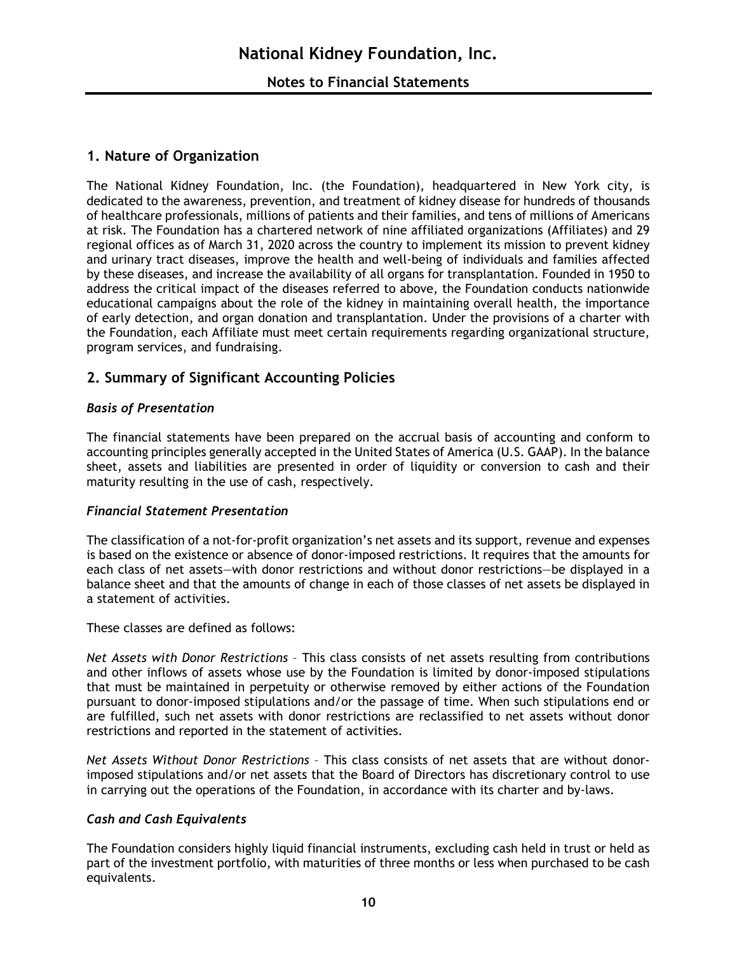# **1. Nature of Organization**

The National Kidney Foundation, Inc. (the Foundation), headquartered in New York city, is dedicated to the awareness, prevention, and treatment of kidney disease for hundreds of thousands of healthcare professionals, millions of patients and their families, and tens of millions of Americans at risk. The Foundation has a chartered network of nine affiliated organizations (Affiliates) and 29 regional offices as of March 31, 2020 across the country to implement its mission to prevent kidney and urinary tract diseases, improve the health and well-being of individuals and families affected by these diseases, and increase the availability of all organs for transplantation. Founded in 1950 to address the critical impact of the diseases referred to above, the Foundation conducts nationwide educational campaigns about the role of the kidney in maintaining overall health, the importance of early detection, and organ donation and transplantation. Under the provisions of a charter with the Foundation, each Affiliate must meet certain requirements regarding organizational structure, program services, and fundraising.

# **2. Summary of Significant Accounting Policies**

# *Basis of Presentation*

The financial statements have been prepared on the accrual basis of accounting and conform to accounting principles generally accepted in the United States of America (U.S. GAAP). In the balance sheet, assets and liabilities are presented in order of liquidity or conversion to cash and their maturity resulting in the use of cash, respectively.

## *Financial Statement Presentation*

The classification of a not-for-profit organization's net assets and its support, revenue and expenses is based on the existence or absence of donor-imposed restrictions. It requires that the amounts for each class of net assets—with donor restrictions and without donor restrictions—be displayed in a balance sheet and that the amounts of change in each of those classes of net assets be displayed in a statement of activities.

These classes are defined as follows:

*Net Assets with Donor Restrictions* – This class consists of net assets resulting from contributions and other inflows of assets whose use by the Foundation is limited by donor-imposed stipulations that must be maintained in perpetuity or otherwise removed by either actions of the Foundation pursuant to donor-imposed stipulations and/or the passage of time. When such stipulations end or are fulfilled, such net assets with donor restrictions are reclassified to net assets without donor restrictions and reported in the statement of activities.

*Net Assets Without Donor Restrictions* – This class consists of net assets that are without donorimposed stipulations and/or net assets that the Board of Directors has discretionary control to use in carrying out the operations of the Foundation, in accordance with its charter and by-laws.

## *Cash and Cash Equivalents*

The Foundation considers highly liquid financial instruments, excluding cash held in trust or held as part of the investment portfolio, with maturities of three months or less when purchased to be cash equivalents.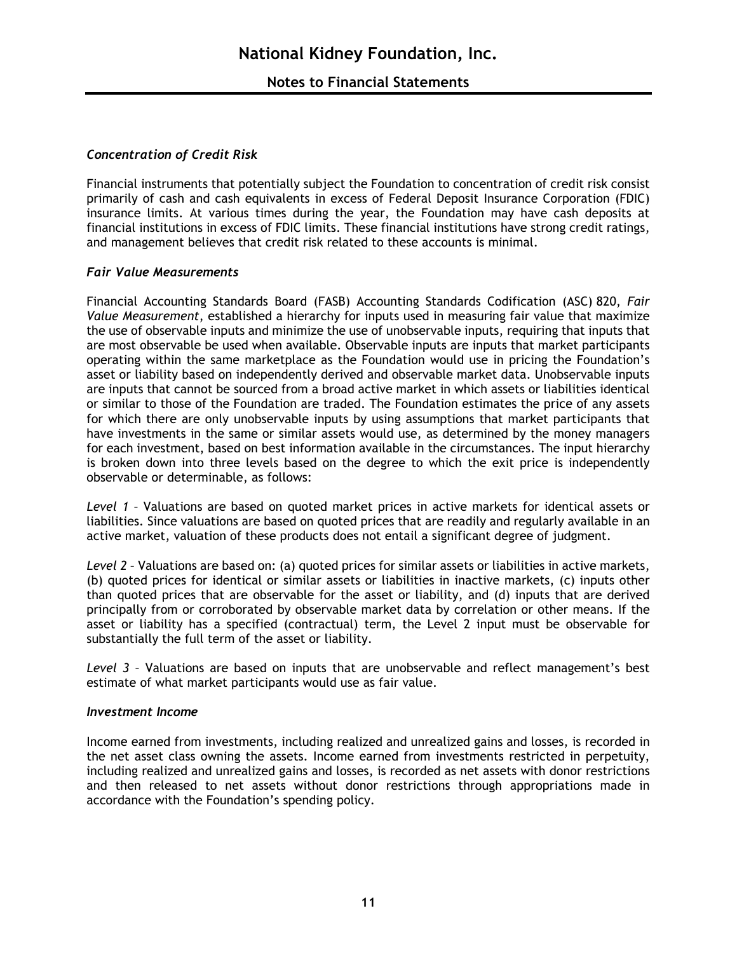# *Concentration of Credit Risk*

Financial instruments that potentially subject the Foundation to concentration of credit risk consist primarily of cash and cash equivalents in excess of Federal Deposit Insurance Corporation (FDIC) insurance limits. At various times during the year, the Foundation may have cash deposits at financial institutions in excess of FDIC limits. These financial institutions have strong credit ratings, and management believes that credit risk related to these accounts is minimal.

# *Fair Value Measurements*

Financial Accounting Standards Board (FASB) Accounting Standards Codification (ASC) 820, *Fair Value Measurement*, established a hierarchy for inputs used in measuring fair value that maximize the use of observable inputs and minimize the use of unobservable inputs, requiring that inputs that are most observable be used when available. Observable inputs are inputs that market participants operating within the same marketplace as the Foundation would use in pricing the Foundation's asset or liability based on independently derived and observable market data. Unobservable inputs are inputs that cannot be sourced from a broad active market in which assets or liabilities identical or similar to those of the Foundation are traded. The Foundation estimates the price of any assets for which there are only unobservable inputs by using assumptions that market participants that have investments in the same or similar assets would use, as determined by the money managers for each investment, based on best information available in the circumstances. The input hierarchy is broken down into three levels based on the degree to which the exit price is independently observable or determinable, as follows:

*Level 1* – Valuations are based on quoted market prices in active markets for identical assets or liabilities. Since valuations are based on quoted prices that are readily and regularly available in an active market, valuation of these products does not entail a significant degree of judgment.

*Level 2* – Valuations are based on: (a) quoted prices for similar assets or liabilities in active markets, (b) quoted prices for identical or similar assets or liabilities in inactive markets, (c) inputs other than quoted prices that are observable for the asset or liability, and (d) inputs that are derived principally from or corroborated by observable market data by correlation or other means. If the asset or liability has a specified (contractual) term, the Level 2 input must be observable for substantially the full term of the asset or liability.

*Level 3* – Valuations are based on inputs that are unobservable and reflect management's best estimate of what market participants would use as fair value.

## *Investment Income*

Income earned from investments, including realized and unrealized gains and losses, is recorded in the net asset class owning the assets. Income earned from investments restricted in perpetuity, including realized and unrealized gains and losses, is recorded as net assets with donor restrictions and then released to net assets without donor restrictions through appropriations made in accordance with the Foundation's spending policy.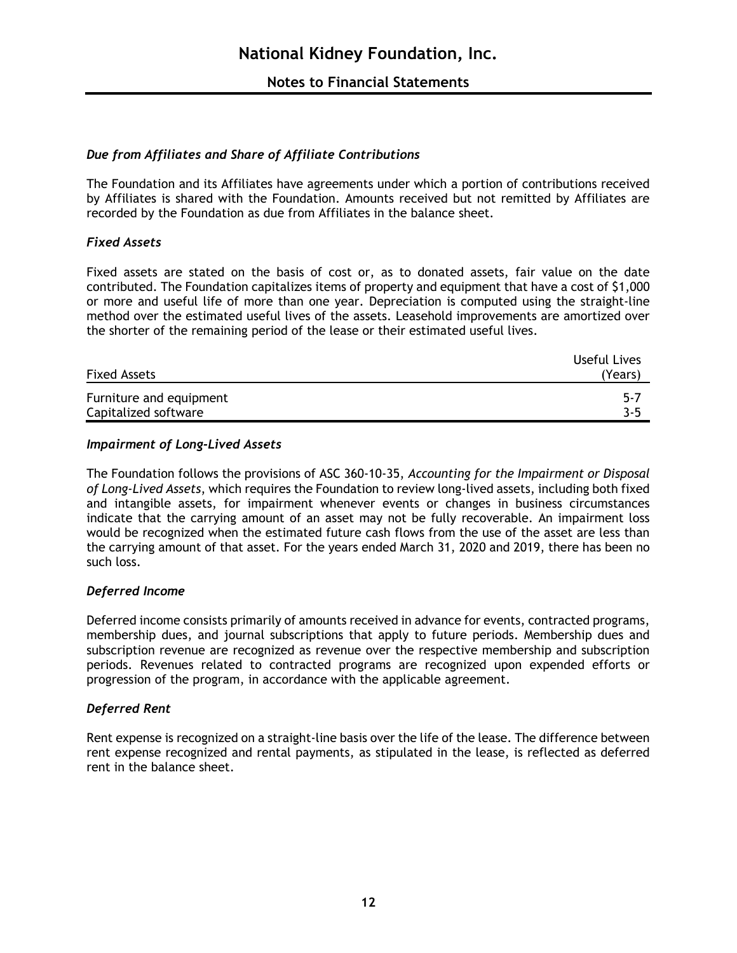# *Due from Affiliates and Share of Affiliate Contributions*

The Foundation and its Affiliates have agreements under which a portion of contributions received by Affiliates is shared with the Foundation. Amounts received but not remitted by Affiliates are recorded by the Foundation as due from Affiliates in the balance sheet.

# *Fixed Assets*

Fixed assets are stated on the basis of cost or, as to donated assets, fair value on the date contributed. The Foundation capitalizes items of property and equipment that have a cost of \$1,000 or more and useful life of more than one year. Depreciation is computed using the straight-line method over the estimated useful lives of the assets. Leasehold improvements are amortized over the shorter of the remaining period of the lease or their estimated useful lives.

|                         | Useful Lives |
|-------------------------|--------------|
| <b>Fixed Assets</b>     | (Years)      |
| Furniture and equipment | $-5 - 7$     |
| Capitalized software    | 3-5          |

## *Impairment of Long-Lived Assets*

The Foundation follows the provisions of ASC 360-10-35, *Accounting for the Impairment or Disposal of Long-Lived Assets*, which requires the Foundation to review long-lived assets, including both fixed and intangible assets, for impairment whenever events or changes in business circumstances indicate that the carrying amount of an asset may not be fully recoverable. An impairment loss would be recognized when the estimated future cash flows from the use of the asset are less than the carrying amount of that asset. For the years ended March 31, 2020 and 2019, there has been no such loss.

## *Deferred Income*

Deferred income consists primarily of amounts received in advance for events, contracted programs, membership dues, and journal subscriptions that apply to future periods. Membership dues and subscription revenue are recognized as revenue over the respective membership and subscription periods. Revenues related to contracted programs are recognized upon expended efforts or progression of the program, in accordance with the applicable agreement.

# *Deferred Rent*

Rent expense is recognized on a straight-line basis over the life of the lease. The difference between rent expense recognized and rental payments, as stipulated in the lease, is reflected as deferred rent in the balance sheet.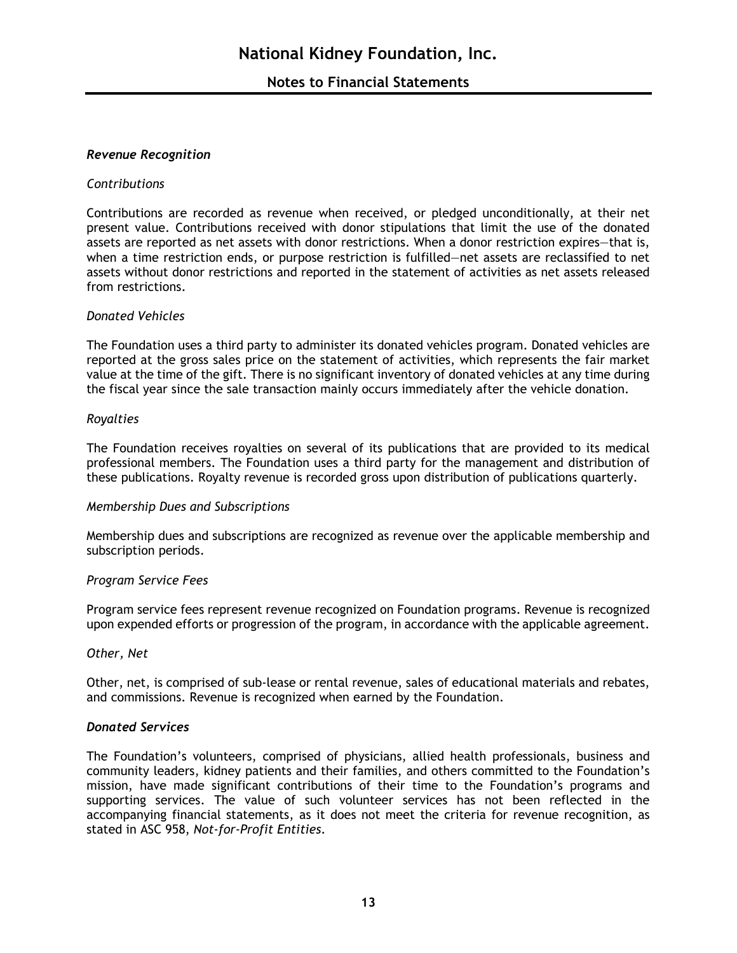## *Revenue Recognition*

## *Contributions*

Contributions are recorded as revenue when received, or pledged unconditionally, at their net present value. Contributions received with donor stipulations that limit the use of the donated assets are reported as net assets with donor restrictions. When a donor restriction expires—that is, when a time restriction ends, or purpose restriction is fulfilled—net assets are reclassified to net assets without donor restrictions and reported in the statement of activities as net assets released from restrictions.

## *Donated Vehicles*

The Foundation uses a third party to administer its donated vehicles program. Donated vehicles are reported at the gross sales price on the statement of activities, which represents the fair market value at the time of the gift. There is no significant inventory of donated vehicles at any time during the fiscal year since the sale transaction mainly occurs immediately after the vehicle donation.

## *Royalties*

The Foundation receives royalties on several of its publications that are provided to its medical professional members. The Foundation uses a third party for the management and distribution of these publications. Royalty revenue is recorded gross upon distribution of publications quarterly.

## *Membership Dues and Subscriptions*

Membership dues and subscriptions are recognized as revenue over the applicable membership and subscription periods.

## *Program Service Fees*

Program service fees represent revenue recognized on Foundation programs. Revenue is recognized upon expended efforts or progression of the program, in accordance with the applicable agreement.

## *Other, Net*

Other, net, is comprised of sub-lease or rental revenue, sales of educational materials and rebates, and commissions. Revenue is recognized when earned by the Foundation.

## *Donated Services*

The Foundation's volunteers, comprised of physicians, allied health professionals, business and community leaders, kidney patients and their families, and others committed to the Foundation's mission, have made significant contributions of their time to the Foundation's programs and supporting services. The value of such volunteer services has not been reflected in the accompanying financial statements, as it does not meet the criteria for revenue recognition, as stated in ASC 958, *Not-for-Profit Entities*.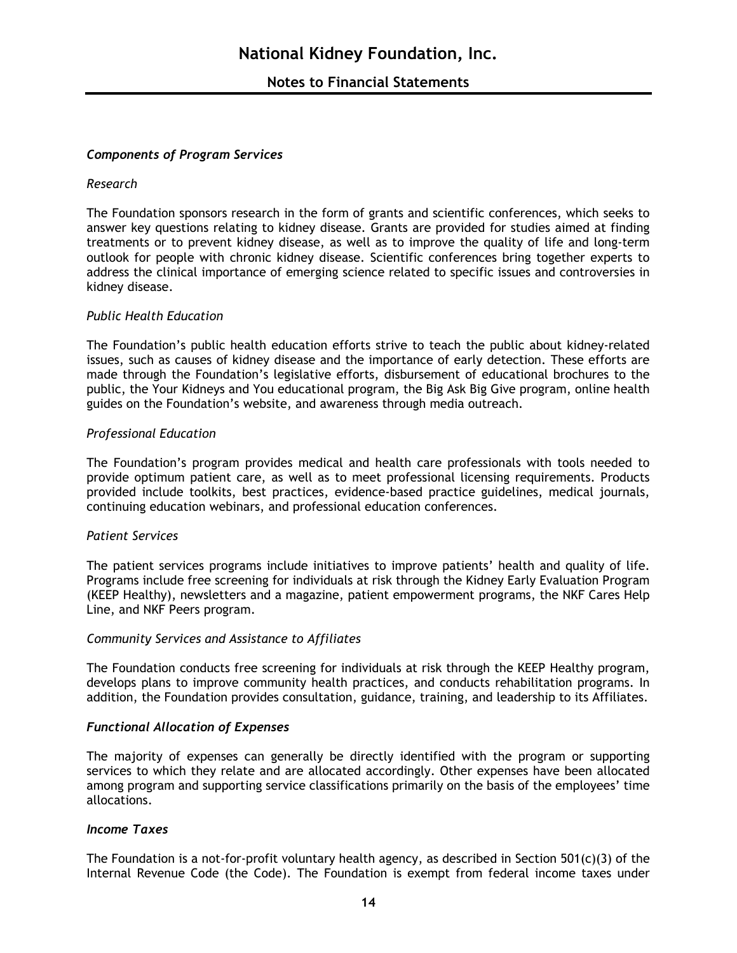#### *Components of Program Services*

#### *Research*

The Foundation sponsors research in the form of grants and scientific conferences, which seeks to answer key questions relating to kidney disease. Grants are provided for studies aimed at finding treatments or to prevent kidney disease, as well as to improve the quality of life and long-term outlook for people with chronic kidney disease. Scientific conferences bring together experts to address the clinical importance of emerging science related to specific issues and controversies in kidney disease.

#### *Public Health Education*

The Foundation's public health education efforts strive to teach the public about kidney-related issues, such as causes of kidney disease and the importance of early detection. These efforts are made through the Foundation's legislative efforts, disbursement of educational brochures to the public, the Your Kidneys and You educational program, the Big Ask Big Give program, online health guides on the Foundation's website, and awareness through media outreach.

#### *Professional Education*

The Foundation's program provides medical and health care professionals with tools needed to provide optimum patient care, as well as to meet professional licensing requirements. Products provided include toolkits, best practices, evidence-based practice guidelines, medical journals, continuing education webinars, and professional education conferences.

#### *Patient Services*

The patient services programs include initiatives to improve patients' health and quality of life. Programs include free screening for individuals at risk through the Kidney Early Evaluation Program (KEEP Healthy), newsletters and a magazine, patient empowerment programs, the NKF Cares Help Line, and NKF Peers program.

#### *Community Services and Assistance to Affiliates*

The Foundation conducts free screening for individuals at risk through the KEEP Healthy program, develops plans to improve community health practices, and conducts rehabilitation programs. In addition, the Foundation provides consultation, guidance, training, and leadership to its Affiliates.

#### *Functional Allocation of Expenses*

The majority of expenses can generally be directly identified with the program or supporting services to which they relate and are allocated accordingly. Other expenses have been allocated among program and supporting service classifications primarily on the basis of the employees' time allocations.

#### *Income Taxes*

The Foundation is a not-for-profit voluntary health agency, as described in Section 501(c)(3) of the Internal Revenue Code (the Code). The Foundation is exempt from federal income taxes under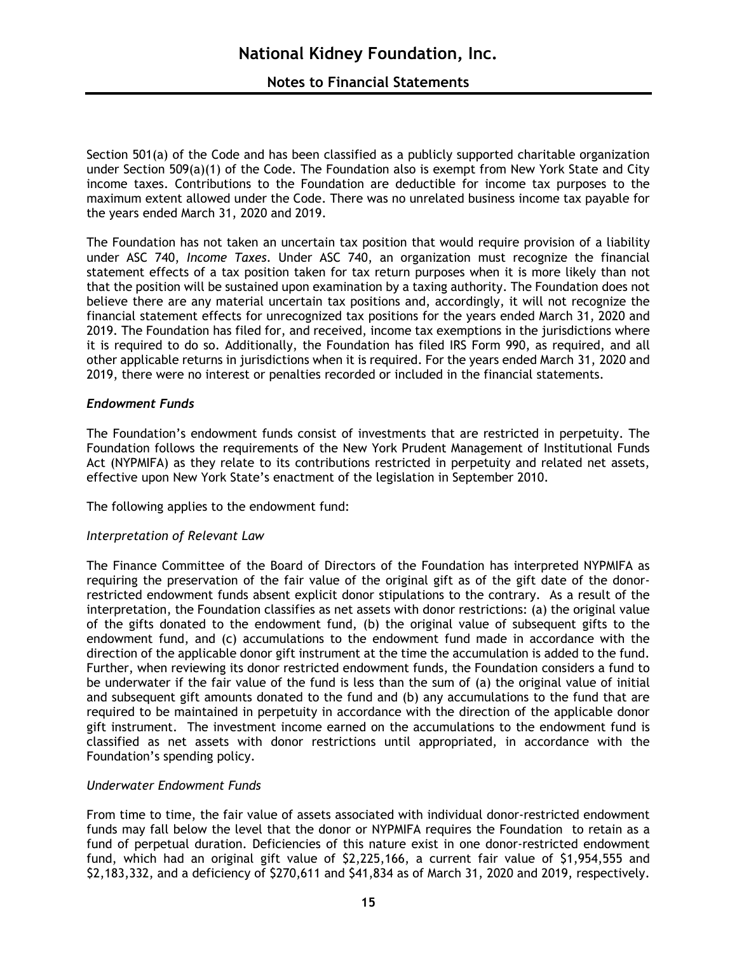# **Notes to Financial Statements**

Section 501(a) of the Code and has been classified as a publicly supported charitable organization under Section 509(a)(1) of the Code. The Foundation also is exempt from New York State and City income taxes. Contributions to the Foundation are deductible for income tax purposes to the maximum extent allowed under the Code. There was no unrelated business income tax payable for the years ended March 31, 2020 and 2019.

The Foundation has not taken an uncertain tax position that would require provision of a liability under ASC 740, *Income Taxes*. Under ASC 740, an organization must recognize the financial statement effects of a tax position taken for tax return purposes when it is more likely than not that the position will be sustained upon examination by a taxing authority. The Foundation does not believe there are any material uncertain tax positions and, accordingly, it will not recognize the financial statement effects for unrecognized tax positions for the years ended March 31, 2020 and 2019. The Foundation has filed for, and received, income tax exemptions in the jurisdictions where it is required to do so. Additionally, the Foundation has filed IRS Form 990, as required, and all other applicable returns in jurisdictions when it is required. For the years ended March 31, 2020 and 2019, there were no interest or penalties recorded or included in the financial statements.

## *Endowment Funds*

The Foundation's endowment funds consist of investments that are restricted in perpetuity. The Foundation follows the requirements of the New York Prudent Management of Institutional Funds Act (NYPMIFA) as they relate to its contributions restricted in perpetuity and related net assets, effective upon New York State's enactment of the legislation in September 2010.

The following applies to the endowment fund:

## *Interpretation of Relevant Law*

The Finance Committee of the Board of Directors of the Foundation has interpreted NYPMIFA as requiring the preservation of the fair value of the original gift as of the gift date of the donorrestricted endowment funds absent explicit donor stipulations to the contrary. As a result of the interpretation, the Foundation classifies as net assets with donor restrictions: (a) the original value of the gifts donated to the endowment fund, (b) the original value of subsequent gifts to the endowment fund, and (c) accumulations to the endowment fund made in accordance with the direction of the applicable donor gift instrument at the time the accumulation is added to the fund. Further, when reviewing its donor restricted endowment funds, the Foundation considers a fund to be underwater if the fair value of the fund is less than the sum of (a) the original value of initial and subsequent gift amounts donated to the fund and (b) any accumulations to the fund that are required to be maintained in perpetuity in accordance with the direction of the applicable donor gift instrument. The investment income earned on the accumulations to the endowment fund is classified as net assets with donor restrictions until appropriated, in accordance with the Foundation's spending policy.

## *Underwater Endowment Funds*

From time to time, the fair value of assets associated with individual donor-restricted endowment funds may fall below the level that the donor or NYPMIFA requires the Foundation to retain as a fund of perpetual duration. Deficiencies of this nature exist in one donor-restricted endowment fund, which had an original gift value of \$2,225,166, a current fair value of \$1,954,555 and \$2,183,332, and a deficiency of \$270,611 and \$41,834 as of March 31, 2020 and 2019, respectively.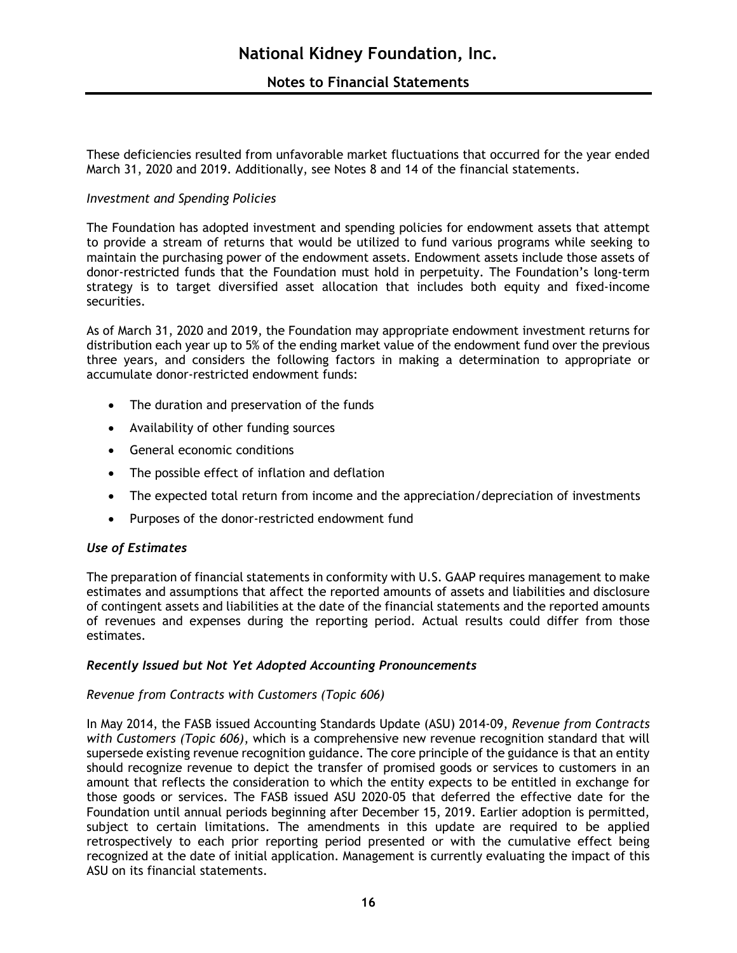# **Notes to Financial Statements**

These deficiencies resulted from unfavorable market fluctuations that occurred for the year ended March 31, 2020 and 2019. Additionally, see Notes 8 and 14 of the financial statements.

## *Investment and Spending Policies*

The Foundation has adopted investment and spending policies for endowment assets that attempt to provide a stream of returns that would be utilized to fund various programs while seeking to maintain the purchasing power of the endowment assets. Endowment assets include those assets of donor-restricted funds that the Foundation must hold in perpetuity. The Foundation's long-term strategy is to target diversified asset allocation that includes both equity and fixed-income securities.

As of March 31, 2020 and 2019, the Foundation may appropriate endowment investment returns for distribution each year up to 5% of the ending market value of the endowment fund over the previous three years, and considers the following factors in making a determination to appropriate or accumulate donor-restricted endowment funds:

- The duration and preservation of the funds
- Availability of other funding sources
- General economic conditions
- The possible effect of inflation and deflation
- The expected total return from income and the appreciation/depreciation of investments
- Purposes of the donor-restricted endowment fund

## *Use of Estimates*

The preparation of financial statements in conformity with U.S. GAAP requires management to make estimates and assumptions that affect the reported amounts of assets and liabilities and disclosure of contingent assets and liabilities at the date of the financial statements and the reported amounts of revenues and expenses during the reporting period. Actual results could differ from those estimates.

## *Recently Issued but Not Yet Adopted Accounting Pronouncements*

## *Revenue from Contracts with Customers (Topic 606)*

In May 2014, the FASB issued Accounting Standards Update (ASU) 2014-09, *Revenue from Contracts with Customers (Topic 606)*, which is a comprehensive new revenue recognition standard that will supersede existing revenue recognition guidance. The core principle of the guidance is that an entity should recognize revenue to depict the transfer of promised goods or services to customers in an amount that reflects the consideration to which the entity expects to be entitled in exchange for those goods or services. The FASB issued ASU 2020-05 that deferred the effective date for the Foundation until annual periods beginning after December 15, 2019. Earlier adoption is permitted, subject to certain limitations. The amendments in this update are required to be applied retrospectively to each prior reporting period presented or with the cumulative effect being recognized at the date of initial application. Management is currently evaluating the impact of this ASU on its financial statements.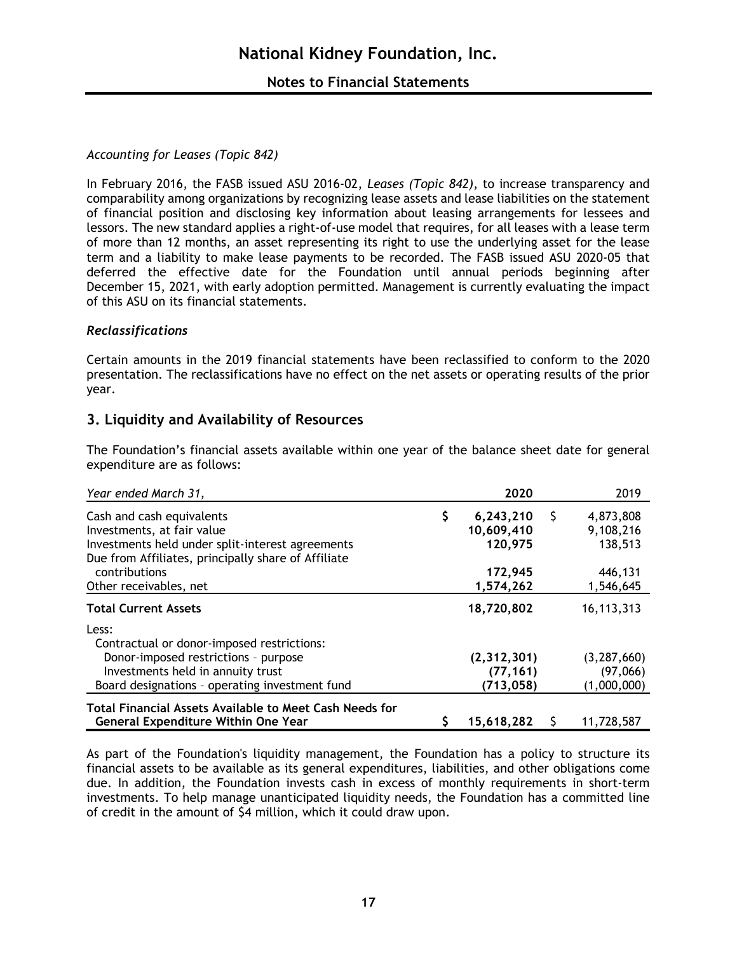# *Accounting for Leases (Topic 842)*

In February 2016, the FASB issued ASU 2016-02, *Leases (Topic 842)*, to increase transparency and comparability among organizations by recognizing lease assets and lease liabilities on the statement of financial position and disclosing key information about leasing arrangements for lessees and lessors. The new standard applies a right-of-use model that requires, for all leases with a lease term of more than 12 months, an asset representing its right to use the underlying asset for the lease term and a liability to make lease payments to be recorded. The FASB issued ASU 2020-05 that deferred the effective date for the Foundation until annual periods beginning after December 15, 2021, with early adoption permitted. Management is currently evaluating the impact of this ASU on its financial statements.

## *Reclassifications*

Certain amounts in the 2019 financial statements have been reclassified to conform to the 2020 presentation. The reclassifications have no effect on the net assets or operating results of the prior year.

# **3. Liquidity and Availability of Resources**

| Year ended March 31,                                                                                                                                                               | 2020                                          | 2019                                     |
|------------------------------------------------------------------------------------------------------------------------------------------------------------------------------------|-----------------------------------------------|------------------------------------------|
| Cash and cash equivalents<br>Investments, at fair value<br>Investments held under split-interest agreements<br>Due from Affiliates, principally share of Affiliate                 | \$<br>6,243,210<br>Ş<br>10,609,410<br>120,975 | 4,873,808<br>9,108,216<br>138,513        |
| contributions<br>Other receivables, net                                                                                                                                            | 172,945<br>1,574,262                          | 446,131<br>1,546,645                     |
| <b>Total Current Assets</b>                                                                                                                                                        | 18,720,802                                    | 16,113,313                               |
| Less:<br>Contractual or donor-imposed restrictions:<br>Donor-imposed restrictions - purpose<br>Investments held in annuity trust<br>Board designations - operating investment fund | (2, 312, 301)<br>(77, 161)<br>(713, 058)      | (3, 287, 660)<br>(97,066)<br>(1,000,000) |
| Total Financial Assets Available to Meet Cash Needs for<br><b>General Expenditure Within One Year</b>                                                                              | 15,618,282                                    | 11,728,587                               |

The Foundation's financial assets available within one year of the balance sheet date for general expenditure are as follows:

As part of the Foundation's liquidity management, the Foundation has a policy to structure its financial assets to be available as its general expenditures, liabilities, and other obligations come due. In addition, the Foundation invests cash in excess of monthly requirements in short-term investments. To help manage unanticipated liquidity needs, the Foundation has a committed line of credit in the amount of \$4 million, which it could draw upon.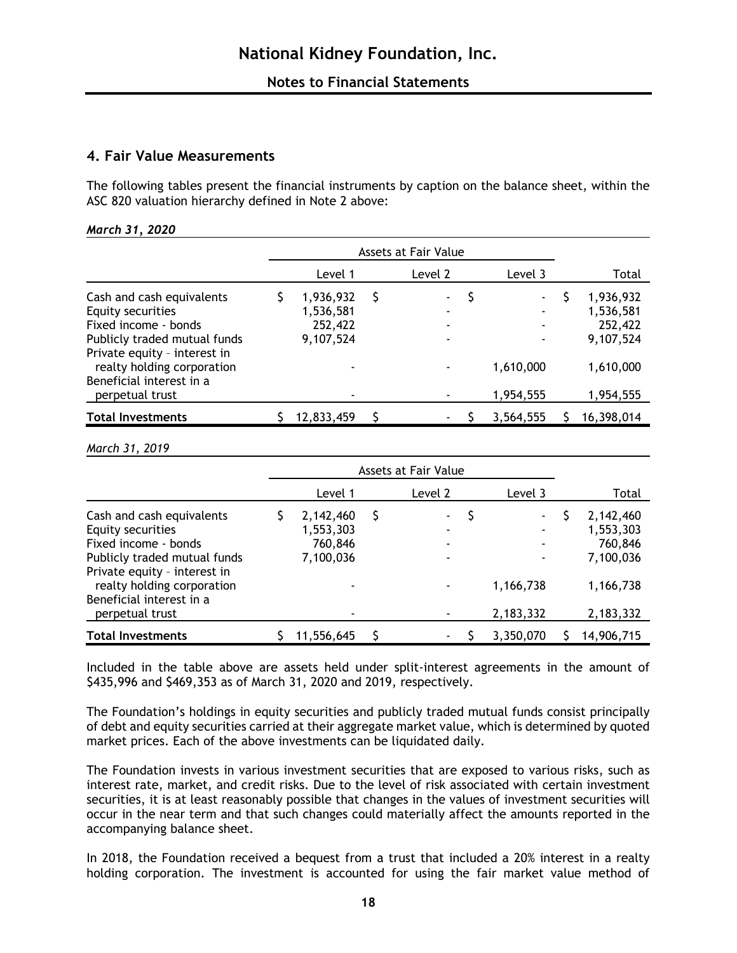# **4. Fair Value Measurements**

The following tables present the financial instruments by caption on the balance sheet, within the ASC 820 valuation hierarchy defined in Note 2 above:

|                                                                                                                                                                                                                     | Assets at Fair Value                           |   |                |                                            |       |                                                                          |
|---------------------------------------------------------------------------------------------------------------------------------------------------------------------------------------------------------------------|------------------------------------------------|---|----------------|--------------------------------------------|-------|--------------------------------------------------------------------------|
|                                                                                                                                                                                                                     | Level 1                                        |   | Level 2        | Level 3                                    | Total |                                                                          |
| Cash and cash equivalents<br>Equity securities<br>Fixed income - bonds<br>Publicly traded mutual funds<br>Private equity - interest in<br>realty holding corporation<br>Beneficial interest in a<br>perpetual trust | 1,936,932<br>1,536,581<br>252,422<br>9,107,524 | S | $\blacksquare$ | ۰<br>٠<br>٠<br>۰<br>1,610,000<br>1,954,555 |       | 1,936,932<br>1,536,581<br>252,422<br>9,107,524<br>1,610,000<br>1,954,555 |
| <b>Total Investments</b>                                                                                                                                                                                            | 12,833,459                                     |   |                | 3,564,555                                  |       | 16,398,014                                                               |

#### *March 31, 2019*

|                                                                                                                                                                                                                     | Assets at Fair Value                                             |   |                |                                                                   |                                                                          |
|---------------------------------------------------------------------------------------------------------------------------------------------------------------------------------------------------------------------|------------------------------------------------------------------|---|----------------|-------------------------------------------------------------------|--------------------------------------------------------------------------|
|                                                                                                                                                                                                                     | Level 1                                                          |   | Level 2        | Level 3                                                           | Total                                                                    |
| Cash and cash equivalents<br>Equity securities<br>Fixed income - bonds<br>Publicly traded mutual funds<br>Private equity - interest in<br>realty holding corporation<br>Beneficial interest in a<br>perpetual trust | 2,142,460<br>1,553,303<br>760,846<br>7,100,036<br>$\blacksquare$ | Ş | $\blacksquare$ | $\overline{\phantom{a}}$<br>٠<br>٠<br>٠<br>1,166,738<br>2,183,332 | 2,142,460<br>1,553,303<br>760,846<br>7,100,036<br>1,166,738<br>2,183,332 |
| <b>Total Investments</b>                                                                                                                                                                                            | 11,556,645                                                       |   |                | 3,350,070                                                         | 14,906,715                                                               |

Included in the table above are assets held under split-interest agreements in the amount of \$435,996 and \$469,353 as of March 31, 2020 and 2019, respectively.

The Foundation's holdings in equity securities and publicly traded mutual funds consist principally of debt and equity securities carried at their aggregate market value, which is determined by quoted market prices. Each of the above investments can be liquidated daily.

The Foundation invests in various investment securities that are exposed to various risks, such as interest rate, market, and credit risks. Due to the level of risk associated with certain investment securities, it is at least reasonably possible that changes in the values of investment securities will occur in the near term and that such changes could materially affect the amounts reported in the accompanying balance sheet.

In 2018, the Foundation received a bequest from a trust that included a 20% interest in a realty holding corporation. The investment is accounted for using the fair market value method of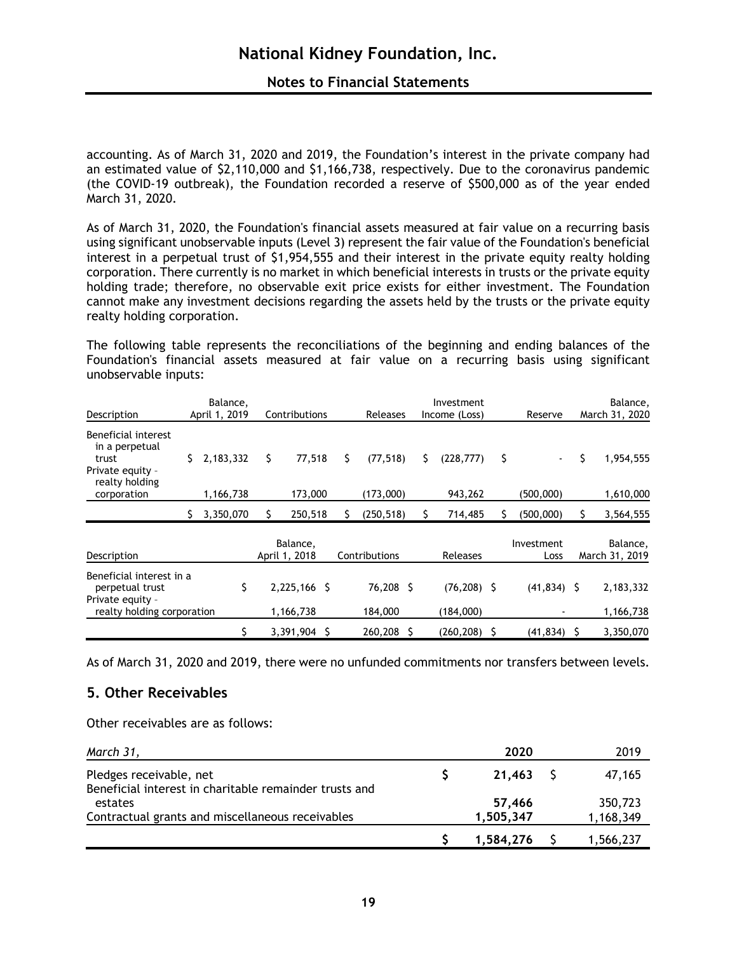# **Notes to Financial Statements**

accounting. As of March 31, 2020 and 2019, the Foundation's interest in the private company had an estimated value of \$2,110,000 and \$1,166,738, respectively. Due to the coronavirus pandemic (the COVID-19 outbreak), the Foundation recorded a reserve of \$500,000 as of the year ended March 31, 2020.

As of March 31, 2020, the Foundation's financial assets measured at fair value on a recurring basis using significant unobservable inputs (Level 3) represent the fair value of the Foundation's beneficial interest in a perpetual trust of \$1,954,555 and their interest in the private equity realty holding corporation. There currently is no market in which beneficial interests in trusts or the private equity holding trade; therefore, no observable exit price exists for either investment. The Foundation cannot make any investment decisions regarding the assets held by the trusts or the private equity realty holding corporation.

The following table represents the reconciliations of the beginning and ending balances of the Foundation's financial assets measured at fair value on a recurring basis using significant unobservable inputs:

| Description                                                                          | Balance,<br>Investment<br>April 1, 2019<br>Contributions<br><b>Releases</b><br>Income (Loss) |           |    |                           |   |    | Reserve       | Balance,<br>March 31, 2020 |                |    |                          |                            |
|--------------------------------------------------------------------------------------|----------------------------------------------------------------------------------------------|-----------|----|---------------------------|---|----|---------------|----------------------------|----------------|----|--------------------------|----------------------------|
| Beneficial interest<br>in a perpetual<br>trust<br>Private equity -<br>realty holding | S.                                                                                           | 2,183,332 | \$ | 77,518                    |   | \$ | (77, 518)     | S.                         | (228, 777)     | \$ | $\overline{\phantom{a}}$ | \$<br>1,954,555            |
| corporation                                                                          |                                                                                              | 1,166,738 |    | 173,000                   |   |    | (173,000)     |                            | 943,262        |    | (500,000)                | 1,610,000                  |
|                                                                                      |                                                                                              | 3,350,070 | S  | 250,518                   |   | S  | (250, 518)    |                            | 714,485        |    | (500,000)                | 3,564,555                  |
| Description                                                                          |                                                                                              |           |    | Balance,<br>April 1, 2018 |   |    | Contributions |                            | Releases       |    | Investment<br>Loss       | Balance,<br>March 31, 2019 |
| Beneficial interest in a<br>perpetual trust<br>Private equity -                      |                                                                                              | \$        |    | 2,225,166 \$              |   |    | 76,208 \$     |                            | $(76, 208)$ \$ |    | $(41, 834)$ \$           | 2,183,332                  |
| realty holding corporation                                                           |                                                                                              |           |    | 1,166,738                 |   |    | 184,000       |                            | (184,000)      |    |                          | 1,166,738                  |
|                                                                                      |                                                                                              |           |    | 3,391,904                 | S |    | 260,208       |                            | (260, 208)     | S. | (41, 834)                | 3,350,070                  |

As of March 31, 2020 and 2019, there were no unfunded commitments nor transfers between levels.

# **5. Other Receivables**

Other receivables are as follows:

| March 31,                                                                         | 2020      | 2019      |
|-----------------------------------------------------------------------------------|-----------|-----------|
| Pledges receivable, net<br>Beneficial interest in charitable remainder trusts and | 21.463 S  | 47,165    |
| estates                                                                           | 57,466    | 350,723   |
| Contractual grants and miscellaneous receivables                                  | 1,505,347 | 1,168,349 |
|                                                                                   | 1,584,276 | 1,566,237 |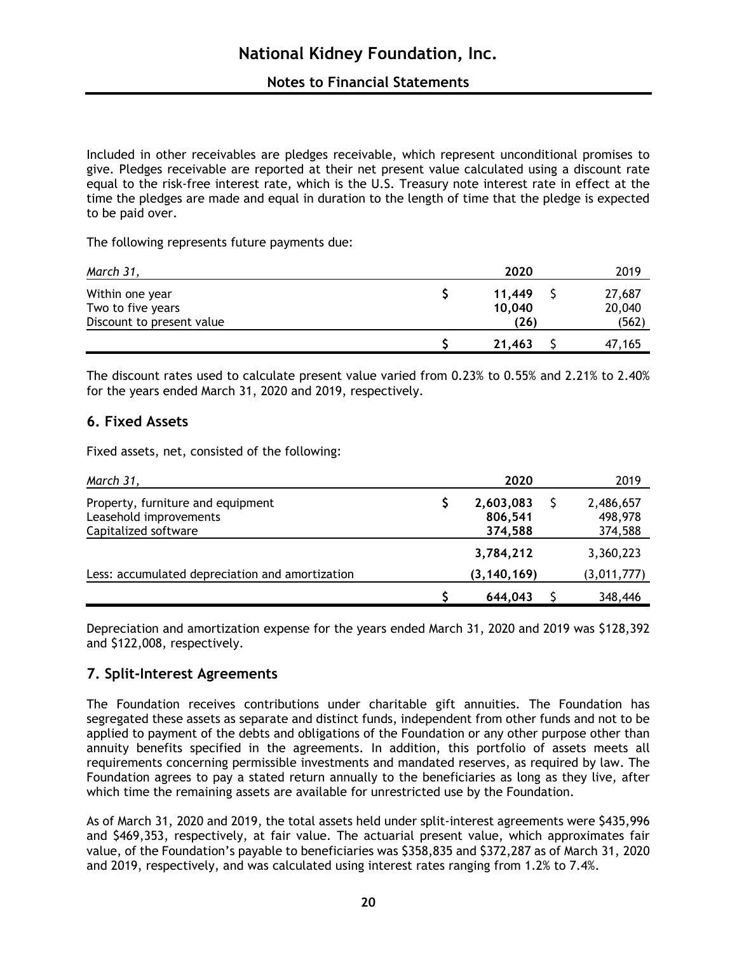# **Notes to Financial Statements**

Included in other receivables are pledges receivable, which represent unconditional promises to give. Pledges receivable are reported at their net present value calculated using a discount rate equal to the risk-free interest rate, which is the U.S. Treasury note interest rate in effect at the time the pledges are made and equal in duration to the length of time that the pledge is expected to be paid over.

The following represents future payments due:

| March 31,                            | 2020             | 2019             |
|--------------------------------------|------------------|------------------|
| Within one year<br>Two to five years | 11,449<br>10,040 | 27,687<br>20,040 |
| Discount to present value            | (26)             | (562)            |
|                                      | 21,463           | 47,165           |

The discount rates used to calculate present value varied from 0.23% to 0.55% and 2.21% to 2.40% for the years ended March 31, 2020 and 2019, respectively.

# **6. Fixed Assets**

Fixed assets, net, consisted of the following:

| March 31,                                                                           | 2020                            | 2019                            |
|-------------------------------------------------------------------------------------|---------------------------------|---------------------------------|
| Property, furniture and equipment<br>Leasehold improvements<br>Capitalized software | 2,603,083<br>806,541<br>374,588 | 2,486,657<br>498,978<br>374,588 |
|                                                                                     | 3,784,212                       | 3,360,223                       |
| Less: accumulated depreciation and amortization                                     | (3, 140, 169)                   | (3,011,777)                     |
|                                                                                     | 644,043                         | 348,446                         |

Depreciation and amortization expense for the years ended March 31, 2020 and 2019 was \$128,392 and \$122,008, respectively.

# **7. Split-Interest Agreements**

The Foundation receives contributions under charitable gift annuities. The Foundation has segregated these assets as separate and distinct funds, independent from other funds and not to be applied to payment of the debts and obligations of the Foundation or any other purpose other than annuity benefits specified in the agreements. In addition, this portfolio of assets meets all requirements concerning permissible investments and mandated reserves, as required by law. The Foundation agrees to pay a stated return annually to the beneficiaries as long as they live, after which time the remaining assets are available for unrestricted use by the Foundation.

As of March 31, 2020 and 2019, the total assets held under split-interest agreements were \$435,996 and \$469,353, respectively, at fair value. The actuarial present value, which approximates fair value, of the Foundation's payable to beneficiaries was \$358,835 and \$372,287 as of March 31, 2020 and 2019, respectively, and was calculated using interest rates ranging from 1.2% to 7.4%.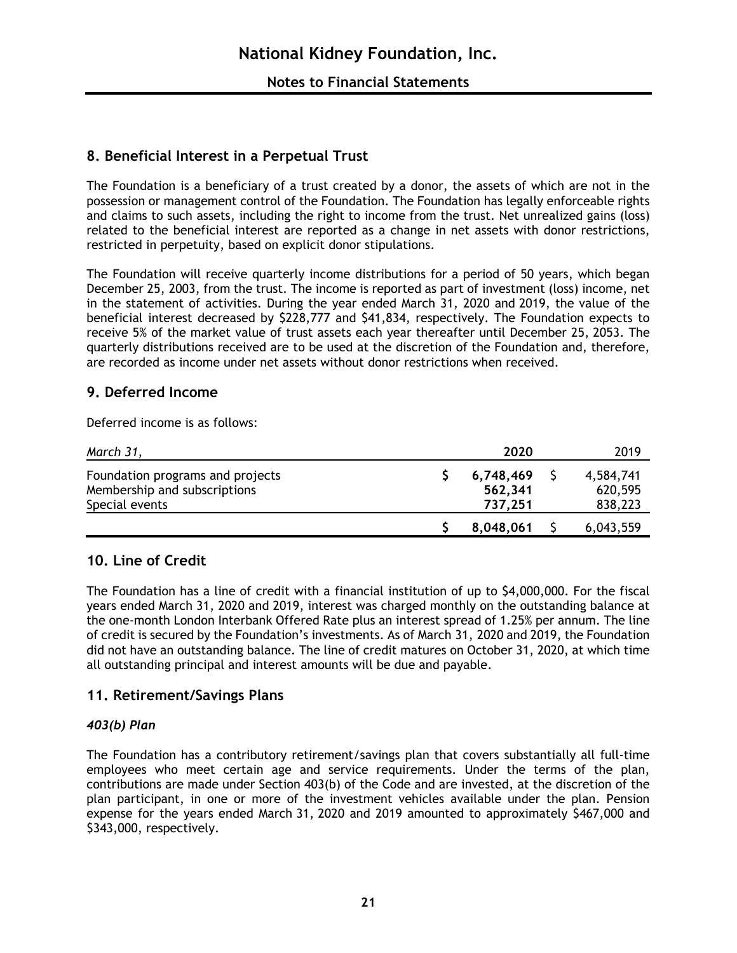# **8. Beneficial Interest in a Perpetual Trust**

The Foundation is a beneficiary of a trust created by a donor, the assets of which are not in the possession or management control of the Foundation. The Foundation has legally enforceable rights and claims to such assets, including the right to income from the trust. Net unrealized gains (loss) related to the beneficial interest are reported as a change in net assets with donor restrictions, restricted in perpetuity, based on explicit donor stipulations.

The Foundation will receive quarterly income distributions for a period of 50 years, which began December 25, 2003, from the trust. The income is reported as part of investment (loss) income, net in the statement of activities. During the year ended March 31, 2020 and 2019, the value of the beneficial interest decreased by \$228,777 and \$41,834, respectively. The Foundation expects to receive 5% of the market value of trust assets each year thereafter until December 25, 2053. The quarterly distributions received are to be used at the discretion of the Foundation and, therefore, are recorded as income under net assets without donor restrictions when received.

# **9. Deferred Income**

Deferred income is as follows:

| March 31,                                                                          | 2020                            | 2019                            |
|------------------------------------------------------------------------------------|---------------------------------|---------------------------------|
| Foundation programs and projects<br>Membership and subscriptions<br>Special events | 6,748,469<br>562,341<br>737,251 | 4,584,741<br>620,595<br>838,223 |
|                                                                                    | 8,048,061                       | 6,043,559                       |

# **10. Line of Credit**

The Foundation has a line of credit with a financial institution of up to \$4,000,000. For the fiscal years ended March 31, 2020 and 2019, interest was charged monthly on the outstanding balance at the one-month London Interbank Offered Rate plus an interest spread of 1.25% per annum. The line of credit is secured by the Foundation's investments. As of March 31, 2020 and 2019, the Foundation did not have an outstanding balance. The line of credit matures on October 31, 2020, at which time all outstanding principal and interest amounts will be due and payable.

# **11. Retirement/Savings Plans**

# *403(b) Plan*

The Foundation has a contributory retirement/savings plan that covers substantially all full-time employees who meet certain age and service requirements. Under the terms of the plan, contributions are made under Section 403(b) of the Code and are invested, at the discretion of the plan participant, in one or more of the investment vehicles available under the plan. Pension expense for the years ended March 31, 2020 and 2019 amounted to approximately \$467,000 and \$343,000, respectively.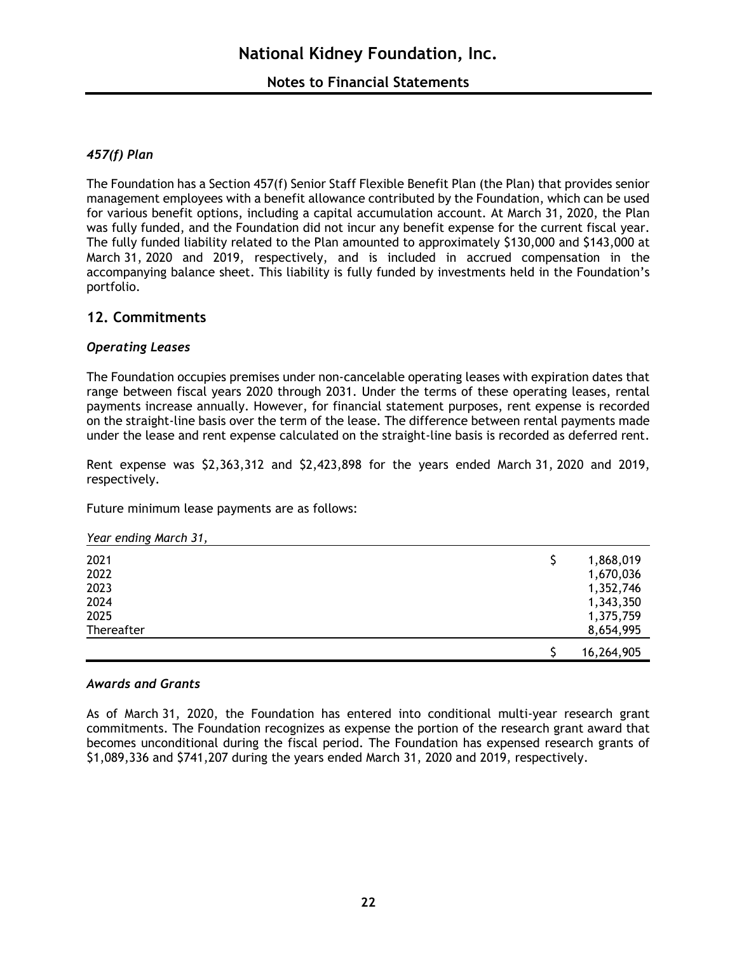# *457(f) Plan*

The Foundation has a Section 457(f) Senior Staff Flexible Benefit Plan (the Plan) that provides senior management employees with a benefit allowance contributed by the Foundation, which can be used for various benefit options, including a capital accumulation account. At March 31, 2020, the Plan was fully funded, and the Foundation did not incur any benefit expense for the current fiscal year. The fully funded liability related to the Plan amounted to approximately \$130,000 and \$143,000 at March 31, 2020 and 2019, respectively, and is included in accrued compensation in the accompanying balance sheet. This liability is fully funded by investments held in the Foundation's portfolio.

# **12. Commitments**

# *Operating Leases*

The Foundation occupies premises under non-cancelable operating leases with expiration dates that range between fiscal years 2020 through 2031. Under the terms of these operating leases, rental payments increase annually. However, for financial statement purposes, rent expense is recorded on the straight-line basis over the term of the lease. The difference between rental payments made under the lease and rent expense calculated on the straight-line basis is recorded as deferred rent.

Rent expense was \$2,363,312 and \$2,423,898 for the years ended March 31, 2020 and 2019, respectively.

Future minimum lease payments are as follows:

*Year ending March 31,* 

| 2021<br>2022<br>2023<br>2024 | \$<br>1,868,019<br>1,670,036<br>1,352,746<br>1,343,350 |
|------------------------------|--------------------------------------------------------|
| 2025<br>Thereafter           | 1,375,759<br>8,654,995                                 |
|                              | 16,264,905                                             |

## *Awards and Grants*

As of March 31, 2020, the Foundation has entered into conditional multi-year research grant commitments. The Foundation recognizes as expense the portion of the research grant award that becomes unconditional during the fiscal period. The Foundation has expensed research grants of \$1,089,336 and \$741,207 during the years ended March 31, 2020 and 2019, respectively.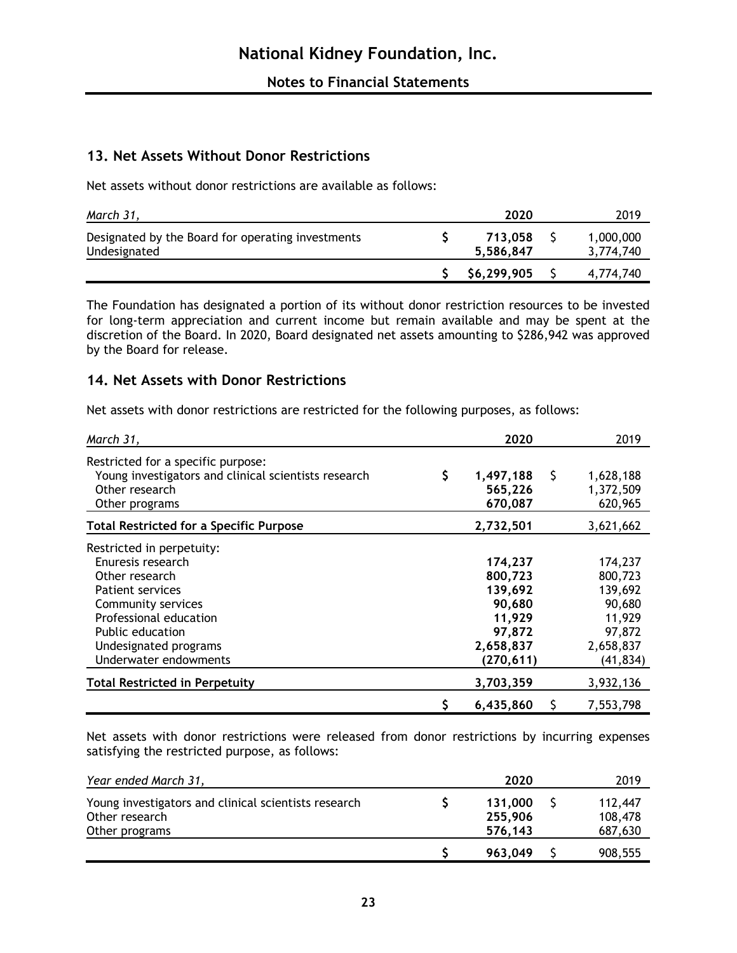# **13. Net Assets Without Donor Restrictions**

Net assets without donor restrictions are available as follows:

| March 31,                                                         | 2020                 | 2019                   |
|-------------------------------------------------------------------|----------------------|------------------------|
| Designated by the Board for operating investments<br>Undesignated | 713.058<br>5.586.847 | 1,000,000<br>3,774,740 |
|                                                                   | \$6,299,905          | 4,774,740              |

The Foundation has designated a portion of its without donor restriction resources to be invested for long-term appreciation and current income but remain available and may be spent at the discretion of the Board. In 2020, Board designated net assets amounting to \$286,942 was approved by the Board for release.

# **14. Net Assets with Donor Restrictions**

Net assets with donor restrictions are restricted for the following purposes, as follows:

| March 31,                                                                                                                                                                                                         | 2020                                                                                   | 2019                                                                                  |
|-------------------------------------------------------------------------------------------------------------------------------------------------------------------------------------------------------------------|----------------------------------------------------------------------------------------|---------------------------------------------------------------------------------------|
| Restricted for a specific purpose:<br>Young investigators and clinical scientists research<br>Other research<br>Other programs                                                                                    | \$<br>\$<br>1,497,188<br>565,226<br>670,087                                            | 1,628,188<br>1,372,509<br>620,965                                                     |
| <b>Total Restricted for a Specific Purpose</b>                                                                                                                                                                    | 2,732,501                                                                              | 3,621,662                                                                             |
| Restricted in perpetuity:<br>Enuresis research<br>Other research<br><b>Patient services</b><br>Community services<br>Professional education<br>Public education<br>Undesignated programs<br>Underwater endowments | 174,237<br>800,723<br>139,692<br>90,680<br>11,929<br>97,872<br>2,658,837<br>(270, 611) | 174,237<br>800,723<br>139,692<br>90,680<br>11,929<br>97,872<br>2,658,837<br>(41, 834) |
| <b>Total Restricted in Perpetuity</b>                                                                                                                                                                             | 3,703,359                                                                              | 3,932,136                                                                             |
|                                                                                                                                                                                                                   | 6,435,860<br>S                                                                         | 7,553,798                                                                             |

Net assets with donor restrictions were released from donor restrictions by incurring expenses satisfying the restricted purpose, as follows:

| Year ended March 31,                                                                     | 2020                          | 2019                          |
|------------------------------------------------------------------------------------------|-------------------------------|-------------------------------|
| Young investigators and clinical scientists research<br>Other research<br>Other programs | 131.000<br>255,906<br>576.143 | 112,447<br>108,478<br>687,630 |
|                                                                                          | 963.049                       | 908,555                       |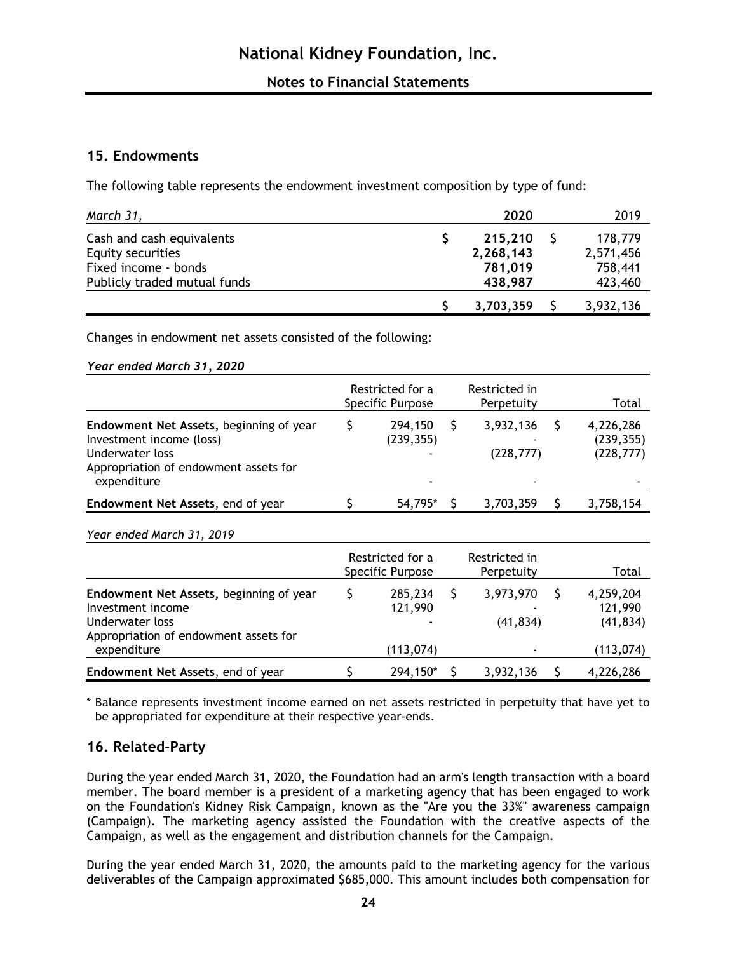# **15. Endowments**

The following table represents the endowment investment composition by type of fund:

| March 31,                                            | 2020                 | 2019                 |
|------------------------------------------------------|----------------------|----------------------|
| Cash and cash equivalents<br>Equity securities       | 215,210<br>2,268,143 | 178,779<br>2,571,456 |
| Fixed income - bonds<br>Publicly traded mutual funds | 781,019<br>438,987   | 758,441<br>423,460   |
|                                                      | 3,703,359            | 3,932,136            |

Changes in endowment net assets consisted of the following:

#### *Year ended March 31, 2020*

| Restricted in<br>Perpetuity               | Total                                 |
|-------------------------------------------|---------------------------------------|
| 3,932,136<br>(228, 777)<br>$\blacksquare$ | 4,226,286<br>(239, 355)<br>(228, 777) |
| 3,703,359                                 | 3,758,154                             |
|                                           |                                       |

## *Year ended March 31, 2019*

|                                                                                                                          | Restricted for a<br>Specific Purpose | Restricted in<br>Perpetuity | Total                             |
|--------------------------------------------------------------------------------------------------------------------------|--------------------------------------|-----------------------------|-----------------------------------|
| Endowment Net Assets, beginning of year<br>Investment income<br>Underwater loss<br>Appropriation of endowment assets for | 285,234<br>121,990                   | 3,973,970<br>(41, 834)      | 4,259,204<br>121,990<br>(41, 834) |
| expenditure                                                                                                              | (113,074)                            | $\blacksquare$              | (113,074)                         |
| Endowment Net Assets, end of year                                                                                        | 294,150*                             | 3,932,136                   | 4,226,286                         |

\* Balance represents investment income earned on net assets restricted in perpetuity that have yet to be appropriated for expenditure at their respective year-ends.

# **16. Related-Party**

During the year ended March 31, 2020, the Foundation had an arm's length transaction with a board member. The board member is a president of a marketing agency that has been engaged to work on the Foundation's Kidney Risk Campaign, known as the "Are you the 33%" awareness campaign (Campaign). The marketing agency assisted the Foundation with the creative aspects of the Campaign, as well as the engagement and distribution channels for the Campaign.

During the year ended March 31, 2020, the amounts paid to the marketing agency for the various deliverables of the Campaign approximated \$685,000. This amount includes both compensation for